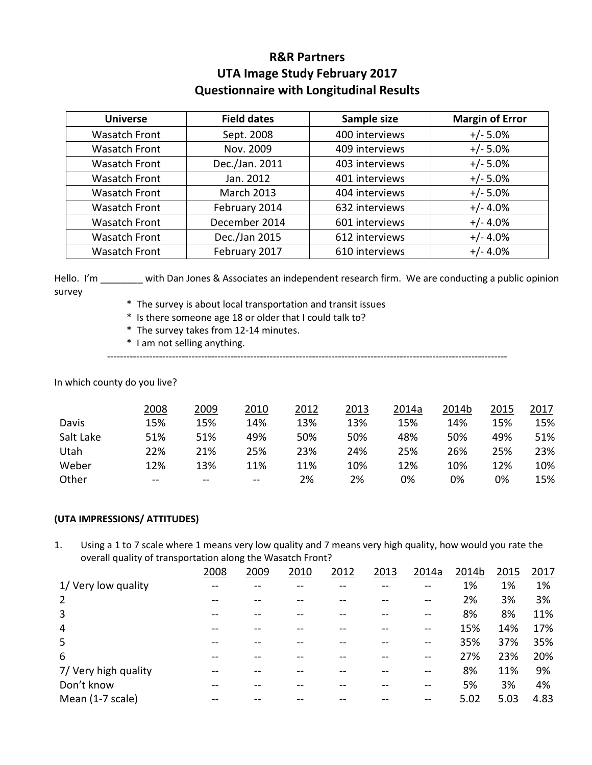# **R&R Partners UTA Image Study February 2017 Questionnaire with Longitudinal Results**

| <b>Universe</b>      | <b>Field dates</b> | Sample size    | <b>Margin of Error</b> |
|----------------------|--------------------|----------------|------------------------|
| <b>Wasatch Front</b> | Sept. 2008         | 400 interviews | $+/- 5.0%$             |
| <b>Wasatch Front</b> | Nov. 2009          | 409 interviews | $+/- 5.0%$             |
| <b>Wasatch Front</b> | Dec./Jan. 2011     | 403 interviews | $+/- 5.0%$             |
| <b>Wasatch Front</b> | Jan. 2012          | 401 interviews | $+/- 5.0%$             |
| <b>Wasatch Front</b> | <b>March 2013</b>  | 404 interviews | $+/- 5.0%$             |
| <b>Wasatch Front</b> | February 2014      | 632 interviews | $+/- 4.0%$             |
| <b>Wasatch Front</b> | December 2014      | 601 interviews | $+/- 4.0%$             |
| <b>Wasatch Front</b> | Dec./Jan 2015      | 612 interviews | $+/- 4.0%$             |
| <b>Wasatch Front</b> | February 2017      | 610 interviews | $+/- 4.0%$             |

Hello. I'm \_\_\_\_\_\_\_ with Dan Jones & Associates an independent research firm. We are conducting a public opinion survey

- \* The survey is about local transportation and transit issues
- \* Is there someone age 18 or older that I could talk to?
- \* The survey takes from 12-14 minutes.
- \* I am not selling anything.

---------------------------------------------------------------------------------------------------------------------------

In which county do you live?

|           | 2008       | 2009 | 2010       | 2012 | 2013 | 2014a | 2014b | 2015 | 2017 |
|-----------|------------|------|------------|------|------|-------|-------|------|------|
| Davis     | 15%        | 15%  | 14%        | 13%  | 13%  | 15%   | 14%   | 15%  | 15%  |
| Salt Lake | 51%        | 51%  | 49%        | 50%  | 50%  | 48%   | 50%   | 49%  | 51%  |
| Utah      | 22%        | 21%  | 25%        | 23%  | 24%  | 25%   | 26%   | 25%  | 23%  |
| Weber     | 12%        | 13%  | 11%        | 11%  | 10%  | 12%   | 10%   | 12%  | 10%  |
| Other     | $\sim$ $-$ | $-$  | $\sim$ $-$ | 2%   | 2%   | 0%    | 0%    | 0%   | 15%  |

#### **(UTA IMPRESSIONS/ ATTITUDES)**

1. Using a 1 to 7 scale where 1 means very low quality and 7 means very high quality, how would you rate the overall quality of transportation along the Wasatch Front?

|                      | 2008 | 2009 | 2010 | 2012 | 2013 | 2014a | 2014b | 2015 | 2017 |
|----------------------|------|------|------|------|------|-------|-------|------|------|
| 1/ Very low quality  |      |      |      |      |      |       | 1%    | 1%   | 1%   |
| $\overline{2}$       |      |      |      |      |      |       | 2%    | 3%   | 3%   |
| 3                    |      |      |      |      |      |       | 8%    | 8%   | 11%  |
| 4                    |      |      |      |      |      |       | 15%   | 14%  | 17%  |
| 5                    |      |      |      |      |      |       | 35%   | 37%  | 35%  |
| 6                    |      |      |      |      |      |       | 27%   | 23%  | 20%  |
| 7/ Very high quality |      |      |      |      |      |       | 8%    | 11%  | 9%   |
| Don't know           |      |      |      |      |      |       | 5%    | 3%   | 4%   |
| Mean (1-7 scale)     |      |      |      |      |      |       | 5.02  | 5.03 | 4.83 |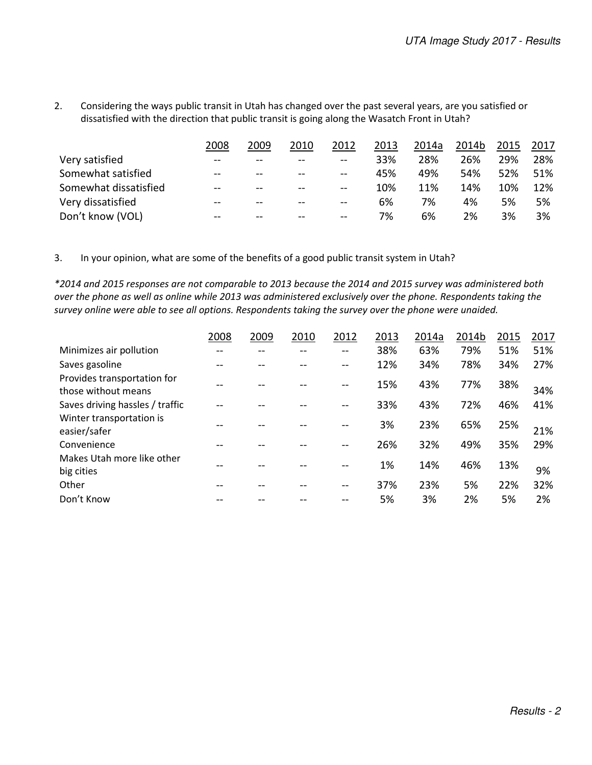2. Considering the ways public transit in Utah has changed over the past several years, are you satisfied or dissatisfied with the direction that public transit is going along the Wasatch Front in Utah?

|                       | 2008  | 2009  | 2010      | 2012          | 2013 | 2014a | 2014b | 2015 | 2017 |
|-----------------------|-------|-------|-----------|---------------|------|-------|-------|------|------|
| Very satisfied        | $- -$ | $- -$ | $-$       | $\sim$ $\sim$ | 33%  | 28%   | 26%   | 29%  | 28%  |
| Somewhat satisfied    | $- -$ | $- -$ | $-$       | $-$           | 45%  | 49%   | 54%   | 52%  | 51%  |
| Somewhat dissatisfied | --    | --    | <u>——</u> | $-$           | 10%  | 11%   | 14%   | 10%  | 12%  |
| Very dissatisfied     | $- -$ | $- -$ | $-$       | $- -$         | 6%   | 7%    | 4%    | 5%   | 5%   |
| Don't know (VOL)      | $- -$ | $- -$ | $- -$     | $-$           | 7%   | 6%    | 2%    | 3%   | 3%   |

3. In your opinion, what are some of the benefits of a good public transit system in Utah?

*\*2014 and 2015 responses are not comparable to 2013 because the 2014 and 2015 survey was administered both over the phone as well as online while 2013 was administered exclusively over the phone. Respondents taking the survey online were able to see all options. Respondents taking the survey over the phone were unaided.* 

|                                                    | 2008 | 2009 | 2010 | 2012  | 2013 | 2014a | 2014b | 2015 | 2017 |
|----------------------------------------------------|------|------|------|-------|------|-------|-------|------|------|
| Minimizes air pollution                            |      |      |      |       | 38%  | 63%   | 79%   | 51%  | 51%  |
| Saves gasoline                                     |      |      |      |       | 12%  | 34%   | 78%   | 34%  | 27%  |
| Provides transportation for<br>those without means |      |      |      | $- -$ | 15%  | 43%   | 77%   | 38%  | 34%  |
| Saves driving hassles / traffic                    |      |      |      |       | 33%  | 43%   | 72%   | 46%  | 41%  |
| Winter transportation is<br>easier/safer           |      |      |      |       | 3%   | 23%   | 65%   | 25%  | 21%  |
| Convenience                                        |      |      |      |       | 26%  | 32%   | 49%   | 35%  | 29%  |
| Makes Utah more like other<br>big cities           |      |      |      |       | 1%   | 14%   | 46%   | 13%  | 9%   |
| Other                                              |      |      |      |       | 37%  | 23%   | 5%    | 22%  | 32%  |
| Don't Know                                         |      |      |      |       | 5%   | 3%    | 2%    | 5%   | 2%   |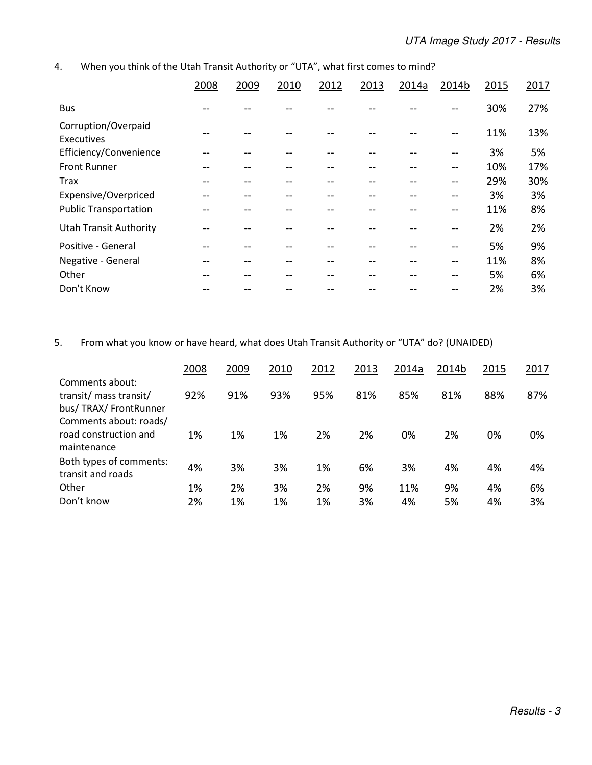### 4. When you think of the Utah Transit Authority or "UTA", what first comes to mind?

|                                   | 2008 | 2009 | 2010 | 2012 | 2013 | 2014a | 2014b | 2015 | 2017 |
|-----------------------------------|------|------|------|------|------|-------|-------|------|------|
| <b>Bus</b>                        |      |      |      |      |      |       |       | 30%  | 27%  |
| Corruption/Overpaid<br>Executives |      |      |      |      |      |       |       | 11%  | 13%  |
| Efficiency/Convenience            |      |      |      |      |      |       | --    | 3%   | 5%   |
| <b>Front Runner</b>               | --   |      |      |      |      |       | --    | 10%  | 17%  |
| <b>Trax</b>                       | --   |      |      |      |      |       | --    | 29%  | 30%  |
| Expensive/Overpriced              | --   |      |      |      |      |       | --    | 3%   | 3%   |
| <b>Public Transportation</b>      | --   |      |      |      |      |       | $- -$ | 11%  | 8%   |
| <b>Utah Transit Authority</b>     |      |      |      |      |      |       |       | 2%   | 2%   |
| Positive - General                |      |      |      |      |      |       | --    | 5%   | 9%   |
| Negative - General                | --   |      |      |      |      |       | $- -$ | 11%  | 8%   |
| Other                             |      |      |      |      |      |       |       | 5%   | 6%   |
| Don't Know                        |      |      |      |      |      |       |       | 2%   | 3%   |

### 5. From what you know or have heard, what does Utah Transit Authority or "UTA" do? (UNAIDED)

|                                                                   | 2008 | 2009 | 2010 | 2012 | 2013 | 2014a | 2014b | 2015 | 2017 |
|-------------------------------------------------------------------|------|------|------|------|------|-------|-------|------|------|
| Comments about:<br>transit/ mass transit/<br>bus/TRAX/FrontRunner | 92%  | 91%  | 93%  | 95%  | 81%  | 85%   | 81%   | 88%  | 87%  |
| Comments about: roads/<br>road construction and<br>maintenance    | 1%   | 1%   | 1%   | 2%   | 2%   | 0%    | 2%    | 0%   | 0%   |
| Both types of comments:<br>transit and roads                      | 4%   | 3%   | 3%   | 1%   | 6%   | 3%    | 4%    | 4%   | 4%   |
| Other                                                             | 1%   | 2%   | 3%   | 2%   | 9%   | 11%   | 9%    | 4%   | 6%   |
| Don't know                                                        | 2%   | 1%   | 1%   | 1%   | 3%   | 4%    | 5%    | 4%   | 3%   |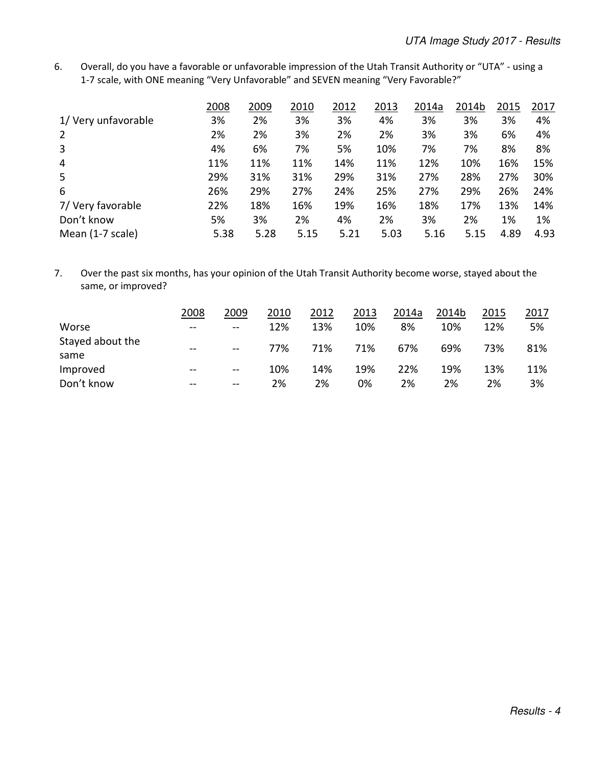6. Overall, do you have a favorable or unfavorable impression of the Utah Transit Authority or "UTA" - using a 1-7 scale, with ONE meaning "Very Unfavorable" and SEVEN meaning "Very Favorable?"

|                     | 2008 | 2009 | 2010 | 2012 | 2013 | 2014a | 2014b | 2015 | 2017 |
|---------------------|------|------|------|------|------|-------|-------|------|------|
| 1/ Very unfavorable | 3%   | 2%   | 3%   | 3%   | 4%   | 3%    | 3%    | 3%   | 4%   |
| 2                   | 2%   | 2%   | 3%   | 2%   | 2%   | 3%    | 3%    | 6%   | 4%   |
| 3                   | 4%   | 6%   | 7%   | 5%   | 10%  | 7%    | 7%    | 8%   | 8%   |
| $\overline{4}$      | 11%  | 11%  | 11%  | 14%  | 11%  | 12%   | 10%   | 16%  | 15%  |
| 5                   | 29%  | 31%  | 31%  | 29%  | 31%  | 27%   | 28%   | 27%  | 30%  |
| 6                   | 26%  | 29%  | 27%  | 24%  | 25%  | 27%   | 29%   | 26%  | 24%  |
| 7/ Very favorable   | 22%  | 18%  | 16%  | 19%  | 16%  | 18%   | 17%   | 13%  | 14%  |
| Don't know          | 5%   | 3%   | 2%   | 4%   | 2%   | 3%    | 2%    | 1%   | 1%   |
| Mean (1-7 scale)    | 5.38 | 5.28 | 5.15 | 5.21 | 5.03 | 5.16  | 5.15  | 4.89 | 4.93 |

7. Over the past six months, has your opinion of the Utah Transit Authority become worse, stayed about the same, or improved?

|                          | 2008  | 2009          | 2010 | 2012 | 2013 | 2014a | 2014b | 2015 | 2017 |
|--------------------------|-------|---------------|------|------|------|-------|-------|------|------|
| Worse                    | $- -$ | $\sim$ $\sim$ | 12%  | 13%  | 10%  | 8%    | 10%   | 12%  | 5%   |
| Stayed about the<br>same | $- -$ | $\sim$ $\sim$ | 77%  | 71%  | 71%  | 67%   | 69%   | 73%  | 81%  |
| Improved                 | $-$   | $- -$         | 10%  | 14%  | 19%  | 22%   | 19%   | 13%  | 11%  |
| Don't know               | $- -$ | $- -$         | 2%   | 2%   | 0%   | 2%    | 2%    | 2%   | 3%   |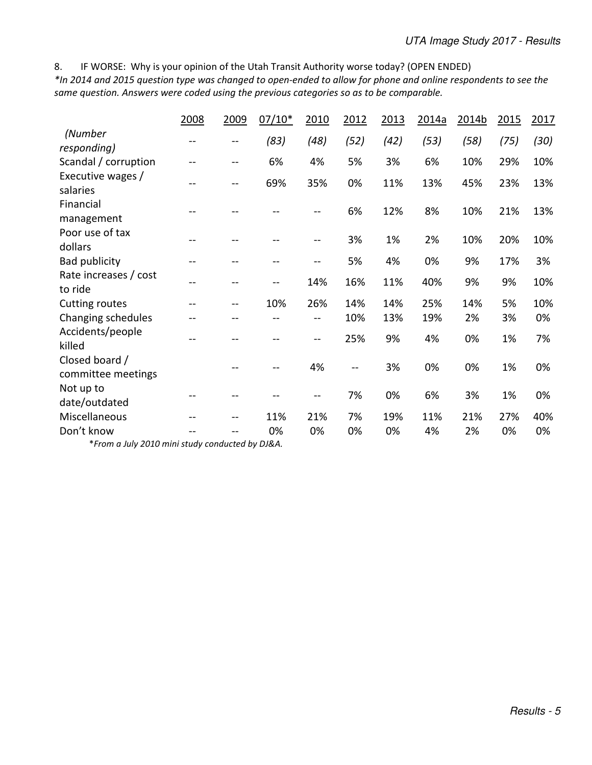8. IF WORSE: Why is your opinion of the Utah Transit Authority worse today? (OPEN ENDED)

*\*In 2014 and 2015 question type was changed to open-ended to allow for phone and online respondents to see the same question. Answers were coded using the previous categories so as to be comparable.* 

|                                      | 2008 | 2009 | $07/10*$ | 2010 | 2012           | 2013 | 2014a | 2014b | 2015 | 2017 |
|--------------------------------------|------|------|----------|------|----------------|------|-------|-------|------|------|
| (Number<br>responding)               |      |      | (83)     | (48) | (52)           | (42) | (53)  | (58)  | (75) | (30) |
| Scandal / corruption                 |      |      | 6%       | 4%   | 5%             | 3%   | 6%    | 10%   | 29%  | 10%  |
| Executive wages /<br>salaries        |      |      | 69%      | 35%  | 0%             | 11%  | 13%   | 45%   | 23%  | 13%  |
| Financial<br>management              |      |      |          |      | 6%             | 12%  | 8%    | 10%   | 21%  | 13%  |
| Poor use of tax<br>dollars           | --   |      |          |      | 3%             | 1%   | 2%    | 10%   | 20%  | 10%  |
| Bad publicity                        |      |      |          | --   | 5%             | 4%   | 0%    | 9%    | 17%  | 3%   |
| Rate increases / cost<br>to ride     | --   |      |          | 14%  | 16%            | 11%  | 40%   | 9%    | 9%   | 10%  |
| <b>Cutting routes</b>                | --   |      | 10%      | 26%  | 14%            | 14%  | 25%   | 14%   | 5%   | 10%  |
| Changing schedules                   |      |      |          |      | 10%            | 13%  | 19%   | 2%    | 3%   | 0%   |
| Accidents/people<br>killed           |      |      |          |      | 25%            | 9%   | 4%    | 0%    | 1%   | 7%   |
| Closed board /<br>committee meetings |      |      |          | 4%   | $\overline{a}$ | 3%   | 0%    | 0%    | 1%   | 0%   |
| Not up to<br>date/outdated           |      |      |          |      | 7%             | 0%   | 6%    | 3%    | 1%   | 0%   |
| Miscellaneous                        |      |      | 11%      | 21%  | 7%             | 19%  | 11%   | 21%   | 27%  | 40%  |
| Don't know                           |      |      | 0%       | 0%   | 0%             | 0%   | 4%    | 2%    | 0%   | 0%   |

\**From a July 2010 mini study conducted by DJ&A.*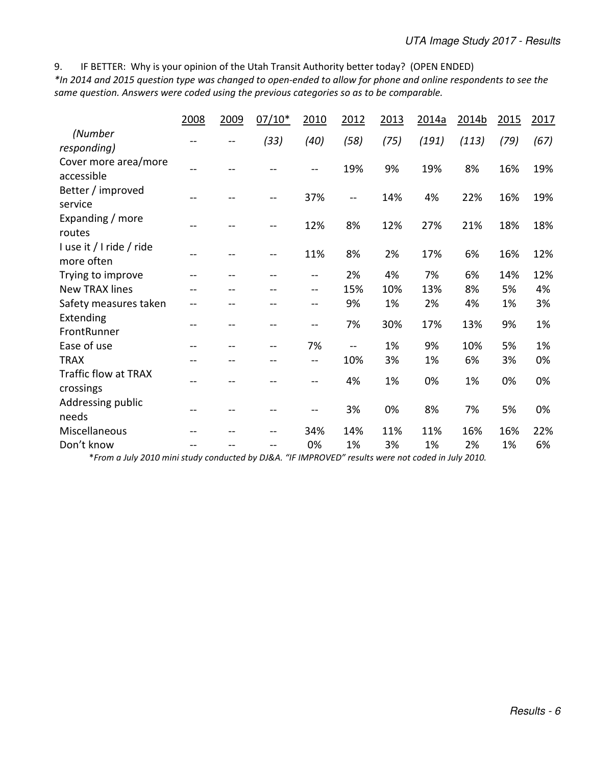9. IF BETTER: Why is your opinion of the Utah Transit Authority better today? (OPEN ENDED)

*\*In 2014 and 2015 question type was changed to open-ended to allow for phone and online respondents to see the same question. Answers were coded using the previous categories so as to be comparable.* 

|                                        | 2008 | 2009 | $07/10*$ | 2010 | 2012                     | 2013 | 2014a | 2014b | 2015 | 2017 |
|----------------------------------------|------|------|----------|------|--------------------------|------|-------|-------|------|------|
| (Number<br>responding)                 |      |      | (33)     | (40) | (58)                     | (75) | (191) | (113) | (79) | (67) |
| Cover more area/more<br>accessible     |      |      |          |      | 19%                      | 9%   | 19%   | 8%    | 16%  | 19%  |
| Better / improved<br>service           |      |      |          | 37%  | $\overline{\phantom{m}}$ | 14%  | 4%    | 22%   | 16%  | 19%  |
| Expanding / more<br>routes             |      |      | --       | 12%  | 8%                       | 12%  | 27%   | 21%   | 18%  | 18%  |
| I use it / I ride / ride<br>more often |      |      | --       | 11%  | 8%                       | 2%   | 17%   | 6%    | 16%  | 12%  |
| Trying to improve                      | --   | --   | --       | $-$  | 2%                       | 4%   | 7%    | 6%    | 14%  | 12%  |
| <b>New TRAX lines</b>                  |      |      |          | $-$  | 15%                      | 10%  | 13%   | 8%    | 5%   | 4%   |
| Safety measures taken                  | $-$  | --   | --       | --   | 9%                       | 1%   | 2%    | 4%    | 1%   | 3%   |
| Extending<br>FrontRunner               | --   | --   | --       | $-$  | 7%                       | 30%  | 17%   | 13%   | 9%   | 1%   |
| Ease of use                            | --   |      |          | 7%   | $-$                      | 1%   | 9%    | 10%   | 5%   | 1%   |
| <b>TRAX</b>                            | --   | --   | --       | --   | 10%                      | 3%   | 1%    | 6%    | 3%   | 0%   |
| Traffic flow at TRAX<br>crossings      |      | --   |          |      | 4%                       | 1%   | 0%    | 1%    | 0%   | 0%   |
| Addressing public<br>needs             |      |      |          |      | 3%                       | 0%   | 8%    | 7%    | 5%   | 0%   |
| Miscellaneous                          |      |      | --       | 34%  | 14%                      | 11%  | 11%   | 16%   | 16%  | 22%  |
| Don't know                             | --   |      | --       | 0%   | 1%                       | 3%   | 1%    | 2%    | 1%   | 6%   |

\**From a July 2010 mini study conducted by DJ&A. "IF IMPROVED" results were not coded in July 2010.*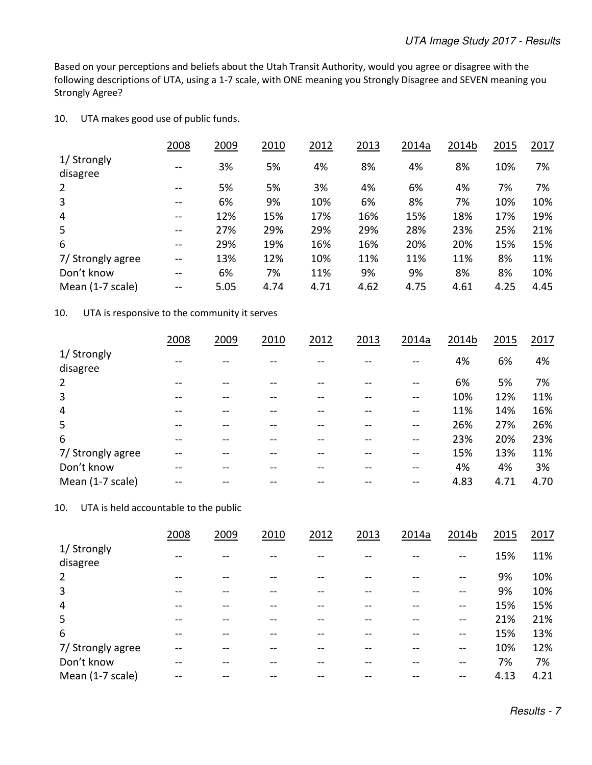Based on your perceptions and beliefs about the Utah Transit Authority, would you agree or disagree with the following descriptions of UTA, using a 1-7 scale, with ONE meaning you Strongly Disagree and SEVEN meaning you Strongly Agree?

### 10. UTA makes good use of public funds.

|                         | 2008          | 2009 | 2010 | 2012 | 2013 | 2014a | 2014b | 2015 | 2017 |
|-------------------------|---------------|------|------|------|------|-------|-------|------|------|
| 1/ Strongly<br>disagree | $\sim$ $\sim$ | 3%   | 5%   | 4%   | 8%   | 4%    | 8%    | 10%  | 7%   |
| $\overline{2}$          | $\sim$ $\sim$ | 5%   | 5%   | 3%   | 4%   | 6%    | 4%    | 7%   | 7%   |
| 3                       | $- -$         | 6%   | 9%   | 10%  | 6%   | 8%    | 7%    | 10%  | 10%  |
| 4                       | $\sim$ $\sim$ | 12%  | 15%  | 17%  | 16%  | 15%   | 18%   | 17%  | 19%  |
| 5                       | $\sim$ $\sim$ | 27%  | 29%  | 29%  | 29%  | 28%   | 23%   | 25%  | 21%  |
| 6                       | --            | 29%  | 19%  | 16%  | 16%  | 20%   | 20%   | 15%  | 15%  |
| 7/ Strongly agree       | $\sim$        | 13%  | 12%  | 10%  | 11%  | 11%   | 11%   | 8%   | 11%  |
| Don't know              | --            | 6%   | 7%   | 11%  | 9%   | 9%    | 8%    | 8%   | 10%  |
| Mean (1-7 scale)        | $\sim$ $\sim$ | 5.05 | 4.74 | 4.71 | 4.62 | 4.75  | 4.61  | 4.25 | 4.45 |

#### 10. UTA is responsive to the community it serves

|                         | 2008 | 2009 | 2010 | 2012 | 2013 | 2014a | 2014b | 2015 | 2017 |
|-------------------------|------|------|------|------|------|-------|-------|------|------|
| 1/ Strongly<br>disagree |      |      |      |      |      |       | 4%    | 6%   | 4%   |
| 2                       |      |      |      |      |      |       | 6%    | 5%   | 7%   |
| 3                       |      |      |      |      |      |       | 10%   | 12%  | 11%  |
| 4                       |      |      |      |      |      |       | 11%   | 14%  | 16%  |
| 5                       |      |      |      |      |      |       | 26%   | 27%  | 26%  |
| 6                       |      |      |      |      |      | --    | 23%   | 20%  | 23%  |
| 7/ Strongly agree       |      |      |      |      |      |       | 15%   | 13%  | 11%  |
| Don't know              |      |      |      |      |      |       | 4%    | 4%   | 3%   |
| Mean (1-7 scale)        |      |      |      |      |      |       | 4.83  | 4.71 | 4.70 |

10. UTA is held accountable to the public

|                         | 2008 | 2009 | 2010 | 2012 | 2013 | 2014a | 2014b         | 2015 | 2017 |
|-------------------------|------|------|------|------|------|-------|---------------|------|------|
| 1/ Strongly<br>disagree |      |      |      |      |      |       | $- -$         | 15%  | 11%  |
| 2                       |      |      |      |      |      |       |               | 9%   | 10%  |
| 3                       |      |      |      |      |      |       |               | 9%   | 10%  |
| 4                       |      |      |      |      |      |       | --            | 15%  | 15%  |
| 5                       | --   |      |      |      |      |       | $\sim$ $\sim$ | 21%  | 21%  |
| 6                       |      |      |      |      |      |       | --            | 15%  | 13%  |
| 7/ Strongly agree       |      |      |      |      |      |       | $- -$         | 10%  | 12%  |
| Don't know              |      |      |      |      |      |       | --            | 7%   | 7%   |
| Mean (1-7 scale)        |      |      |      |      |      |       |               | 4.13 | 4.21 |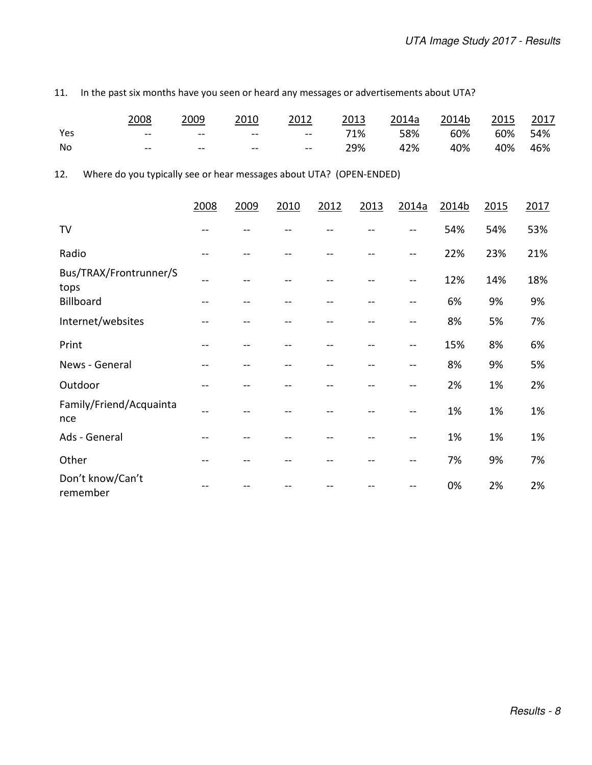11. In the past six months have you seen or heard any messages or advertisements about UTA?

|     | 2008          | 2009  | 2010       | 2012           | 2013 | 2014a | 2014b | 2015 | <u> 2017</u> |
|-----|---------------|-------|------------|----------------|------|-------|-------|------|--------------|
| Yes | $\sim$ $\sim$ | $- -$ | $\sim$ $-$ | $-   \,$       | 71%  | 58%   | 60%   | 60%  | 54%          |
| No  | $\sim$ $\sim$ | $- -$ | $\sim$ $-$ | <b>Section</b> | 29%  | 42%   | 40%   | 40%  | 46%          |

12. Where do you typically see or hear messages about UTA? (OPEN-ENDED)

|                                | 2008 | 2009 | 2010 | 2012 | 2013 | 2014a | 2014b | 2015 | 2017 |
|--------------------------------|------|------|------|------|------|-------|-------|------|------|
| TV                             |      |      |      |      |      |       | 54%   | 54%  | 53%  |
| Radio                          | $-$  |      |      |      |      |       | 22%   | 23%  | 21%  |
| Bus/TRAX/Frontrunner/S<br>tops | --   |      |      |      |      |       | 12%   | 14%  | 18%  |
| Billboard                      | --   |      |      |      |      |       | 6%    | 9%   | 9%   |
| Internet/websites              | --   |      |      |      |      | --    | 8%    | 5%   | 7%   |
| Print                          | --   |      |      |      |      | --    | 15%   | 8%   | 6%   |
| News - General                 | --   | --   |      | --   |      | --    | 8%    | 9%   | 5%   |
| Outdoor                        | --   |      |      |      |      |       | 2%    | 1%   | 2%   |
| Family/Friend/Acquainta<br>nce | --   |      |      |      |      |       | 1%    | 1%   | 1%   |
| Ads - General                  | --   |      |      |      |      |       | 1%    | 1%   | 1%   |
| Other                          | --   |      |      |      |      | --    | 7%    | 9%   | 7%   |
| Don't know/Can't<br>remember   |      |      |      |      |      |       | 0%    | 2%   | 2%   |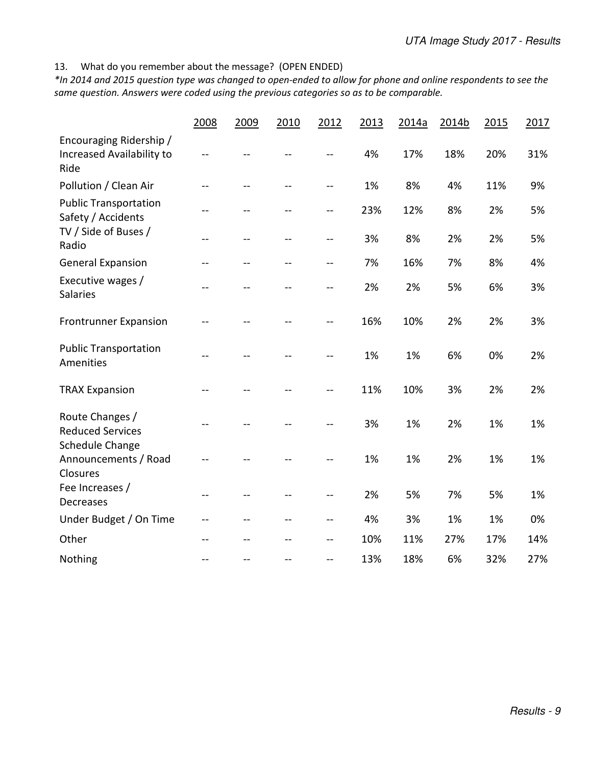13. What do you remember about the message? (OPEN ENDED)

*\*In 2014 and 2015 question type was changed to open-ended to allow for phone and online respondents to see the same question. Answers were coded using the previous categories so as to be comparable.* 

|                                                                            | 2008    | 2009 | 2010 | 2012 | 2013 | 2014a | 2014b | 2015 | 2017 |
|----------------------------------------------------------------------------|---------|------|------|------|------|-------|-------|------|------|
| Encouraging Ridership /<br>Increased Availability to<br>Ride               |         |      |      | --   | 4%   | 17%   | 18%   | 20%  | 31%  |
| Pollution / Clean Air                                                      | $-$     | $-$  |      | --   | 1%   | 8%    | 4%    | 11%  | 9%   |
| <b>Public Transportation</b><br>Safety / Accidents<br>TV / Side of Buses / | $-$     |      |      | --   | 23%  | 12%   | 8%    | 2%   | 5%   |
| Radio                                                                      | --      | --   |      | --   | 3%   | 8%    | 2%    | 2%   | 5%   |
| <b>General Expansion</b>                                                   | --      | --   | $-$  | --   | 7%   | 16%   | 7%    | 8%   | 4%   |
| Executive wages /<br><b>Salaries</b>                                       | <u></u> |      |      | $-$  | 2%   | 2%    | 5%    | 6%   | 3%   |
| <b>Frontrunner Expansion</b>                                               |         |      |      | --   | 16%  | 10%   | 2%    | 2%   | 3%   |
| <b>Public Transportation</b><br>Amenities                                  | --      |      |      |      | 1%   | 1%    | 6%    | 0%   | 2%   |
| <b>TRAX Expansion</b>                                                      |         |      |      | --   | 11%  | 10%   | 3%    | 2%   | 2%   |
| Route Changes /<br><b>Reduced Services</b>                                 | $-$     |      |      | --   | 3%   | 1%    | 2%    | 1%   | 1%   |
| Schedule Change<br>Announcements / Road<br>Closures                        |         |      |      |      | 1%   | 1%    | 2%    | 1%   | 1%   |
| Fee Increases /<br><b>Decreases</b>                                        | --      | $-$  |      | --   | 2%   | 5%    | 7%    | 5%   | 1%   |
| Under Budget / On Time                                                     | --      |      |      | --   | 4%   | 3%    | 1%    | 1%   | 0%   |
| Other                                                                      | $-$     |      |      | --   | 10%  | 11%   | 27%   | 17%  | 14%  |
| Nothing                                                                    | $-$     |      |      | --   | 13%  | 18%   | 6%    | 32%  | 27%  |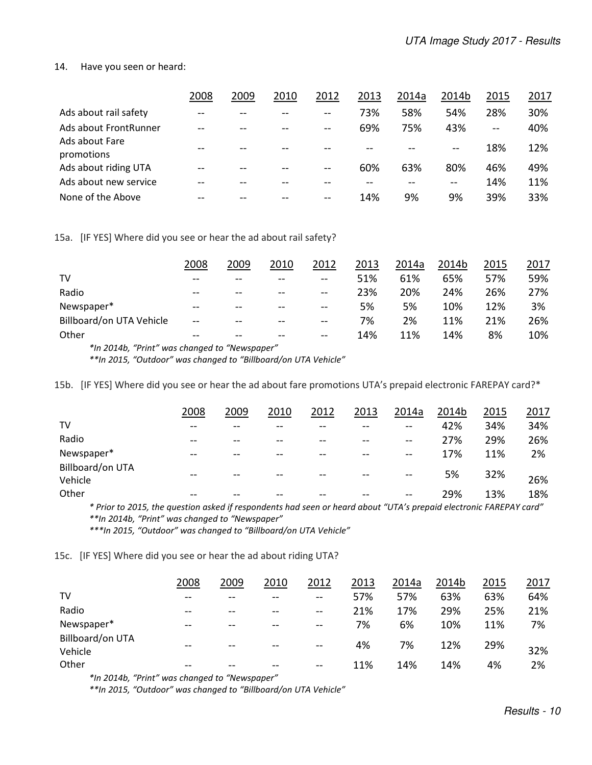#### 14. Have you seen or heard:

|                              | 2008  | 2009 | 2010 | 2012          | 2013 | 2014a | 2014b | 2015          | 2017 |
|------------------------------|-------|------|------|---------------|------|-------|-------|---------------|------|
| Ads about rail safety        | $- -$ |      |      | $- -$         | 73%  | 58%   | 54%   | 28%           | 30%  |
| Ads about FrontRunner        |       |      |      | $\sim$ $\sim$ | 69%  | 75%   | 43%   | $\sim$ $\sim$ | 40%  |
| Ads about Fare<br>promotions |       |      |      |               |      |       |       | 18%           | 12%  |
| Ads about riding UTA         |       |      | --   | $\sim$        | 60%  | 63%   | 80%   | 46%           | 49%  |
| Ads about new service        |       |      | --   |               |      |       | $- -$ | 14%           | 11%  |
| None of the Above            |       |      |      | $- -$         | 14%  | 9%    | 9%    | 39%           | 33%  |

15a. [IF YES] Where did you see or hear the ad about rail safety?

|                                                 | 2008  | 2009  | 2010  | 2012                     | 2013 | 2014a | 2014b | 2015 | 2017 |
|-------------------------------------------------|-------|-------|-------|--------------------------|------|-------|-------|------|------|
| TV                                              | $- -$ | $- -$ | $- -$ | $- -$                    | 51%  | 61%   | 65%   | 57%  | 59%  |
| Radio                                           | $-$   | $- -$ | $-1$  | $\qquad \qquad \cdots$   | 23%  | 20%   | 24%   | 26%  | 27%  |
| Newspaper*                                      | $- -$ | $- -$ | $- -$ | $\overline{\phantom{m}}$ | 5%   | 5%    | 10%   | 12%  | 3%   |
| Billboard/on UTA Vehicle                        | $- -$ | $- -$ | $- -$ | $- -$                    | 7%   | 2%    | 11%   | 21%  | 26%  |
| Other                                           | $- -$ | $- -$ | $- -$ | $-$                      | 14%  | 11%   | 14%   | 8%   | 10%  |
| $*$ ln 2014b "Drint" was changed to "Newspaper" |       |       |       |                          |      |       |       |      |      |

*\*In 2014b, "Print" was changed to "Newspaper"* 

 *\*\*In 2015, "Outdoor" was changed to "Billboard/on UTA Vehicle"*

15b. [IF YES] Where did you see or hear the ad about fare promotions UTA's prepaid electronic FAREPAY card?\*

|                                                                                                                    | 2008 | 2009 | 2010 | 2012 | 2013 | 2014a | 2014b | 2015 | 2017 |
|--------------------------------------------------------------------------------------------------------------------|------|------|------|------|------|-------|-------|------|------|
| TV                                                                                                                 | --   |      |      |      |      | --    | 42%   | 34%  | 34%  |
| Radio                                                                                                              | --   |      |      |      |      | --    | 27%   | 29%  | 26%  |
| Newspaper*                                                                                                         |      |      |      |      |      |       | 17%   | 11%  | 2%   |
| Billboard/on UTA<br>Vehicle                                                                                        |      |      |      |      |      |       | 5%    | 32%  | 26%  |
| Other                                                                                                              |      |      |      |      |      |       | 29%   | 13%  | 18%  |
| * Prior to 2015, the question asked if respondents had seen or heard about "UTA's prepaid electronic FAREPAY card" |      |      |      |      |      |       |       |      |      |

 *\*\*In 2014b, "Print" was changed to "Newspaper"* 

 *\*\*\*In 2015, "Outdoor" was changed to "Billboard/on UTA Vehicle"* 

15c. [IF YES] Where did you see or hear the ad about riding UTA?

|                             | 2008  | 2009  | 2010  | 2012          | 2013 | 2014a | 2014b | 2015 | <u> 2017 </u> |
|-----------------------------|-------|-------|-------|---------------|------|-------|-------|------|---------------|
| TV                          | $- -$ | $-$   | $- -$ | $\sim$ $\sim$ | 57%  | 57%   | 63%   | 63%  | 64%           |
| Radio                       | $- -$ | $- -$ |       | $\sim$ $\sim$ | 21%  | 17%   | 29%   | 25%  | 21%           |
| Newspaper*                  | $- -$ | $- -$ | $ -$  | $- -$         | 7%   | 6%    | 10%   | 11%  | 7%            |
| Billboard/on UTA<br>Vehicle | $- -$ | $- -$ | $ -$  | $\sim$ $\sim$ | 4%   | 7%    | 12%   | 29%  | 32%           |
| Other                       | $ -$  | --    |       | $- -$         | 11%  | 14%   | 14%   | 4%   | 2%            |

*\*In 2014b, "Print" was changed to "Newspaper"* 

 *\*\*In 2015, "Outdoor" was changed to "Billboard/on UTA Vehicle"*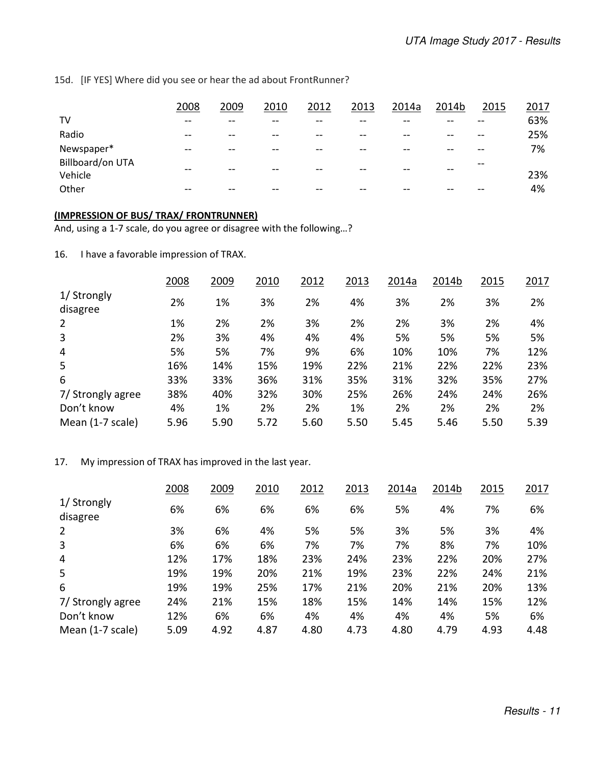15d. [IF YES] Where did you see or hear the ad about FrontRunner?

|                             | 2008  | 2009  | 2010 | 2012 | 2013  | 2014a | 2014b | 2015  | 2017 |
|-----------------------------|-------|-------|------|------|-------|-------|-------|-------|------|
| TV                          | --    | --    |      | --   | --    |       |       |       | 63%  |
| Radio                       | $- -$ | $- -$ |      | --   | $- -$ |       |       |       | 25%  |
| Newspaper*                  | --    | $- -$ |      | --   | --    | --    |       |       | 7%   |
| Billboard/on UTA<br>Vehicle | --    | --    |      |      | --    |       |       | $- -$ | 23%  |
| Other                       |       |       |      |      | --    |       |       |       | 4%   |

#### **(IMPRESSION OF BUS/ TRAX/ FRONTRUNNER)**

And, using a 1-7 scale, do you agree or disagree with the following…?

16. I have a favorable impression of TRAX.

|                         | 2008 | 2009 | 2010 | 2012 | 2013 | 2014a | 2014b | 2015 | 2017 |
|-------------------------|------|------|------|------|------|-------|-------|------|------|
| 1/ Strongly<br>disagree | 2%   | 1%   | 3%   | 2%   | 4%   | 3%    | 2%    | 3%   | 2%   |
| 2                       | 1%   | 2%   | 2%   | 3%   | 2%   | 2%    | 3%    | 2%   | 4%   |
| 3                       | 2%   | 3%   | 4%   | 4%   | 4%   | 5%    | 5%    | 5%   | 5%   |
| 4                       | 5%   | 5%   | 7%   | 9%   | 6%   | 10%   | 10%   | 7%   | 12%  |
| 5                       | 16%  | 14%  | 15%  | 19%  | 22%  | 21%   | 22%   | 22%  | 23%  |
| 6                       | 33%  | 33%  | 36%  | 31%  | 35%  | 31%   | 32%   | 35%  | 27%  |
| 7/ Strongly agree       | 38%  | 40%  | 32%  | 30%  | 25%  | 26%   | 24%   | 24%  | 26%  |
| Don't know              | 4%   | 1%   | 2%   | 2%   | 1%   | 2%    | 2%    | 2%   | 2%   |
| Mean (1-7 scale)        | 5.96 | 5.90 | 5.72 | 5.60 | 5.50 | 5.45  | 5.46  | 5.50 | 5.39 |

17. My impression of TRAX has improved in the last year.

|                         | 2008 | 2009 | 2010 | 2012 | 2013 | 2014a | 2014b | 2015 | 2017 |
|-------------------------|------|------|------|------|------|-------|-------|------|------|
| 1/ Strongly<br>disagree | 6%   | 6%   | 6%   | 6%   | 6%   | 5%    | 4%    | 7%   | 6%   |
| 2                       | 3%   | 6%   | 4%   | 5%   | 5%   | 3%    | 5%    | 3%   | 4%   |
| 3                       | 6%   | 6%   | 6%   | 7%   | 7%   | 7%    | 8%    | 7%   | 10%  |
| 4                       | 12%  | 17%  | 18%  | 23%  | 24%  | 23%   | 22%   | 20%  | 27%  |
| 5                       | 19%  | 19%  | 20%  | 21%  | 19%  | 23%   | 22%   | 24%  | 21%  |
| 6                       | 19%  | 19%  | 25%  | 17%  | 21%  | 20%   | 21%   | 20%  | 13%  |
| 7/ Strongly agree       | 24%  | 21%  | 15%  | 18%  | 15%  | 14%   | 14%   | 15%  | 12%  |
| Don't know              | 12%  | 6%   | 6%   | 4%   | 4%   | 4%    | 4%    | 5%   | 6%   |
| Mean (1-7 scale)        | 5.09 | 4.92 | 4.87 | 4.80 | 4.73 | 4.80  | 4.79  | 4.93 | 4.48 |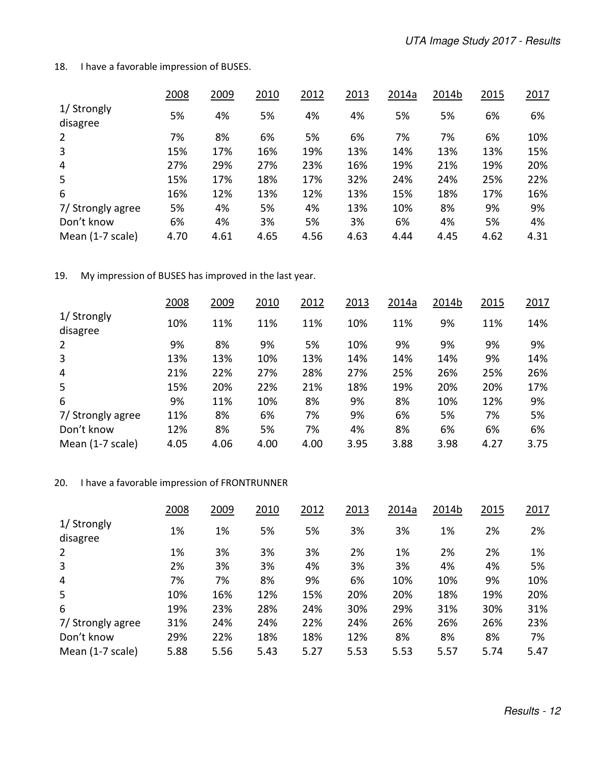18. I have a favorable impression of BUSES.

|                         | 2008 | 2009 | 2010 | 2012 | 2013 | 2014a | 2014b | 2015 | 2017 |
|-------------------------|------|------|------|------|------|-------|-------|------|------|
| 1/ Strongly<br>disagree | 5%   | 4%   | 5%   | 4%   | 4%   | 5%    | 5%    | 6%   | 6%   |
| $\overline{2}$          | 7%   | 8%   | 6%   | 5%   | 6%   | 7%    | 7%    | 6%   | 10%  |
| 3                       | 15%  | 17%  | 16%  | 19%  | 13%  | 14%   | 13%   | 13%  | 15%  |
| 4                       | 27%  | 29%  | 27%  | 23%  | 16%  | 19%   | 21%   | 19%  | 20%  |
| 5                       | 15%  | 17%  | 18%  | 17%  | 32%  | 24%   | 24%   | 25%  | 22%  |
| 6                       | 16%  | 12%  | 13%  | 12%  | 13%  | 15%   | 18%   | 17%  | 16%  |
| 7/ Strongly agree       | 5%   | 4%   | 5%   | 4%   | 13%  | 10%   | 8%    | 9%   | 9%   |
| Don't know              | 6%   | 4%   | 3%   | 5%   | 3%   | 6%    | 4%    | 5%   | 4%   |
| Mean (1-7 scale)        | 4.70 | 4.61 | 4.65 | 4.56 | 4.63 | 4.44  | 4.45  | 4.62 | 4.31 |

19. My impression of BUSES has improved in the last year.

|                         | 2008 | 2009 | 2010 | 2012 | 2013 | 2014a | 2014b | 2015 | 2017 |
|-------------------------|------|------|------|------|------|-------|-------|------|------|
| 1/ Strongly<br>disagree | 10%  | 11%  | 11%  | 11%  | 10%  | 11%   | 9%    | 11%  | 14%  |
| 2                       | 9%   | 8%   | 9%   | 5%   | 10%  | 9%    | 9%    | 9%   | 9%   |
| 3                       | 13%  | 13%  | 10%  | 13%  | 14%  | 14%   | 14%   | 9%   | 14%  |
| 4                       | 21%  | 22%  | 27%  | 28%  | 27%  | 25%   | 26%   | 25%  | 26%  |
| 5                       | 15%  | 20%  | 22%  | 21%  | 18%  | 19%   | 20%   | 20%  | 17%  |
| 6                       | 9%   | 11%  | 10%  | 8%   | 9%   | 8%    | 10%   | 12%  | 9%   |
| 7/ Strongly agree       | 11%  | 8%   | 6%   | 7%   | 9%   | 6%    | 5%    | 7%   | 5%   |
| Don't know              | 12%  | 8%   | 5%   | 7%   | 4%   | 8%    | 6%    | 6%   | 6%   |
| Mean (1-7 scale)        | 4.05 | 4.06 | 4.00 | 4.00 | 3.95 | 3.88  | 3.98  | 4.27 | 3.75 |

### 20. I have a favorable impression of FRONTRUNNER

|                         | 2008 | 2009 | 2010 | 2012 | 2013 | 2014a | 2014b | 2015 | 2017 |
|-------------------------|------|------|------|------|------|-------|-------|------|------|
| 1/ Strongly<br>disagree | 1%   | 1%   | 5%   | 5%   | 3%   | 3%    | 1%    | 2%   | 2%   |
| $\overline{2}$          | 1%   | 3%   | 3%   | 3%   | 2%   | 1%    | 2%    | 2%   | 1%   |
| 3                       | 2%   | 3%   | 3%   | 4%   | 3%   | 3%    | 4%    | 4%   | 5%   |
| 4                       | 7%   | 7%   | 8%   | 9%   | 6%   | 10%   | 10%   | 9%   | 10%  |
| 5                       | 10%  | 16%  | 12%  | 15%  | 20%  | 20%   | 18%   | 19%  | 20%  |
| 6                       | 19%  | 23%  | 28%  | 24%  | 30%  | 29%   | 31%   | 30%  | 31%  |
| 7/ Strongly agree       | 31%  | 24%  | 24%  | 22%  | 24%  | 26%   | 26%   | 26%  | 23%  |
| Don't know              | 29%  | 22%  | 18%  | 18%  | 12%  | 8%    | 8%    | 8%   | 7%   |
| Mean (1-7 scale)        | 5.88 | 5.56 | 5.43 | 5.27 | 5.53 | 5.53  | 5.57  | 5.74 | 5.47 |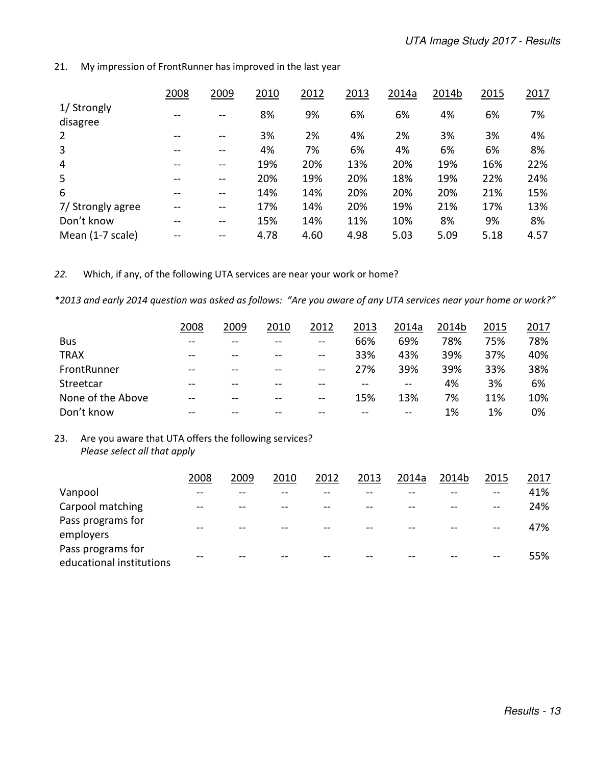|                         | 2008 | 2009          | 2010 | 2012 | 2013 | 2014a | 2014b | 2015 | 2017 |
|-------------------------|------|---------------|------|------|------|-------|-------|------|------|
| 1/ Strongly<br>disagree | --   | $- -$         | 8%   | 9%   | 6%   | 6%    | 4%    | 6%   | 7%   |
| 2                       | --   | --            | 3%   | 2%   | 4%   | 2%    | 3%    | 3%   | 4%   |
| 3                       | --   | $\sim$ $\sim$ | 4%   | 7%   | 6%   | 4%    | 6%    | 6%   | 8%   |
| $\overline{4}$          | --   | $- -$         | 19%  | 20%  | 13%  | 20%   | 19%   | 16%  | 22%  |
| 5                       | --   | --            | 20%  | 19%  | 20%  | 18%   | 19%   | 22%  | 24%  |
| 6                       | --   | --            | 14%  | 14%  | 20%  | 20%   | 20%   | 21%  | 15%  |
| 7/ Strongly agree       | --   | $- -$         | 17%  | 14%  | 20%  | 19%   | 21%   | 17%  | 13%  |
| Don't know              |      | $- -$         | 15%  | 14%  | 11%  | 10%   | 8%    | 9%   | 8%   |
| Mean (1-7 scale)        |      |               | 4.78 | 4.60 | 4.98 | 5.03  | 5.09  | 5.18 | 4.57 |

21. My impression of FrontRunner has improved in the last year

*22.* Which, if any, of the following UTA services are near your work or home?

*\*2013 and early 2014 question was asked as follows: "Are you aware of any UTA services near your home or work?"* 

|                   | 2008  | 2009  | 2010  | 2012          | 2013  | 2014a         | 2014b | 2015 | 2017 |
|-------------------|-------|-------|-------|---------------|-------|---------------|-------|------|------|
| <b>Bus</b>        | $- -$ | --    |       | $\sim$ $\sim$ | 66%   | 69%           | 78%   | 75%  | 78%  |
| <b>TRAX</b>       | $-$   | $-$   | $-$   | $\sim$ $\sim$ | 33%   | 43%           | 39%   | 37%  | 40%  |
| FrontRunner       | $- -$ | $- -$ | $- -$ | $\sim$ $\sim$ | 27%   | 39%           | 39%   | 33%  | 38%  |
| Streetcar         | $- -$ | $- -$ | $- -$ |               | $- -$ | $\sim$ $\sim$ | 4%    | 3%   | 6%   |
| None of the Above | --    | $- -$ | $- -$ | $\sim$ $\sim$ | 15%   | 13%           | 7%    | 11%  | 10%  |
| Don't know        |       |       |       |               |       | $- -$         | 1%    | 1%   | 0%   |

### 23. Are you aware that UTA offers the following services? *Please select all that apply*

|                                               | 2008 | 2009 | 2010 | 2012 | 2013 | 2014a | 2014b | 2015  | 2017 |
|-----------------------------------------------|------|------|------|------|------|-------|-------|-------|------|
| Vanpool                                       |      |      |      |      |      |       |       |       | 41%  |
| Carpool matching                              | --   |      | --   | --   |      |       |       | $- -$ | 24%  |
| Pass programs for<br>employers                |      |      |      |      |      |       |       | --    | 47%  |
| Pass programs for<br>educational institutions |      |      |      |      |      |       |       | --    | 55%  |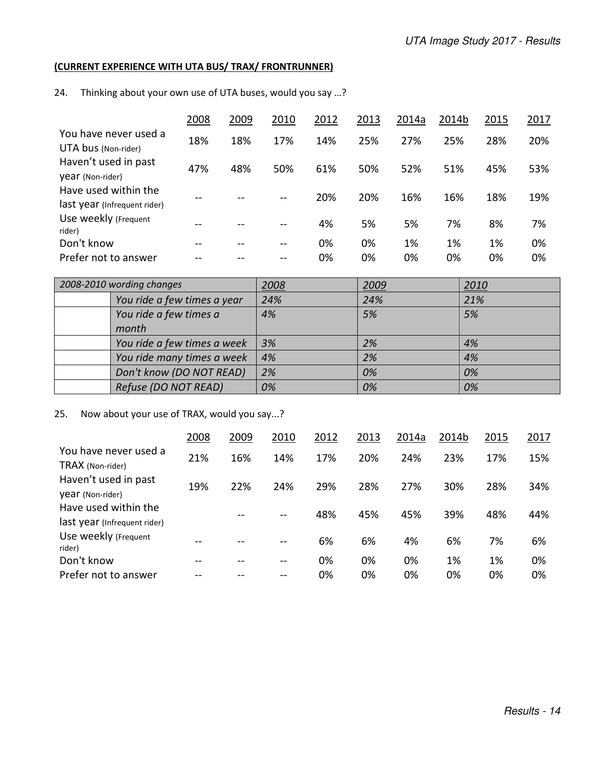### **(CURRENT EXPERIENCE WITH UTA BUS/ TRAX/ FRONTRUNNER)**

24. Thinking about your own use of UTA buses, would you say …?

|                                                      | 2008 | 2009 | 2010 | 2012 | 2013 | 2014a | 2014b | 2015 | 2017 |
|------------------------------------------------------|------|------|------|------|------|-------|-------|------|------|
| You have never used a<br>UTA bus (Non-rider)         | 18%  | 18%  | 17%  | 14%  | 25%  | 27%   | 25%   | 28%  | 20%  |
| Haven't used in past<br>year (Non-rider)             | 47%  | 48%  | 50%  | 61%  | 50%  | 52%   | 51%   | 45%  | 53%  |
| Have used within the<br>last year (Infrequent rider) | $ -$ |      | --   | 20%  | 20%  | 16%   | 16%   | 18%  | 19%  |
| Use weekly (Frequent<br>rider)                       | --   |      | --   | 4%   | 5%   | 5%    | 7%    | 8%   | 7%   |
| Don't know                                           | --   |      | --   | 0%   | 0%   | 1%    | 1%    | 1%   | 0%   |
| Prefer not to answer                                 |      |      |      | 0%   | 0%   | 0%    | 0%    | 0%   | 0%   |

| 2008-2010 wording changes   | <u> 2008</u> | 2009 | 2010 |
|-----------------------------|--------------|------|------|
| You ride a few times a year | 24%          | 24%  | 21%  |
| You ride a few times a      | 4%           | 5%   | 5%   |
| month                       |              |      |      |
| You ride a few times a week | 3%           | 2%   | 4%   |
| You ride many times a week  | 4%           | 2%   | 4%   |
| Don't know (DO NOT READ)    | 2%           | 0%   | 0%   |
| Refuse (DO NOT READ)        | 0%           | 0%   | 0%   |

# 25. Now about your use of TRAX, would you say...?

|                                                      | 2008 | 2009 | 2010 | 2012 | 2013 | 2014a | 2014b | 2015 | 2017 |
|------------------------------------------------------|------|------|------|------|------|-------|-------|------|------|
| You have never used a<br>TRAX (Non-rider)            | 21%  | 16%  | 14%  | 17%  | 20%  | 24%   | 23%   | 17%  | 15%  |
| Haven't used in past<br>year (Non-rider)             | 19%  | 22%  | 24%  | 29%  | 28%  | 27%   | 30%   | 28%  | 34%  |
| Have used within the<br>last year (Infrequent rider) |      |      | --   | 48%  | 45%  | 45%   | 39%   | 48%  | 44%  |
| Use weekly (Frequent<br>rider)                       | --   |      |      | 6%   | 6%   | 4%    | 6%    | 7%   | 6%   |
| Don't know                                           | --   |      | --   | 0%   | 0%   | 0%    | 1%    | 1%   | 0%   |
| Prefer not to answer                                 |      |      |      | 0%   | 0%   | 0%    | 0%    | 0%   | 0%   |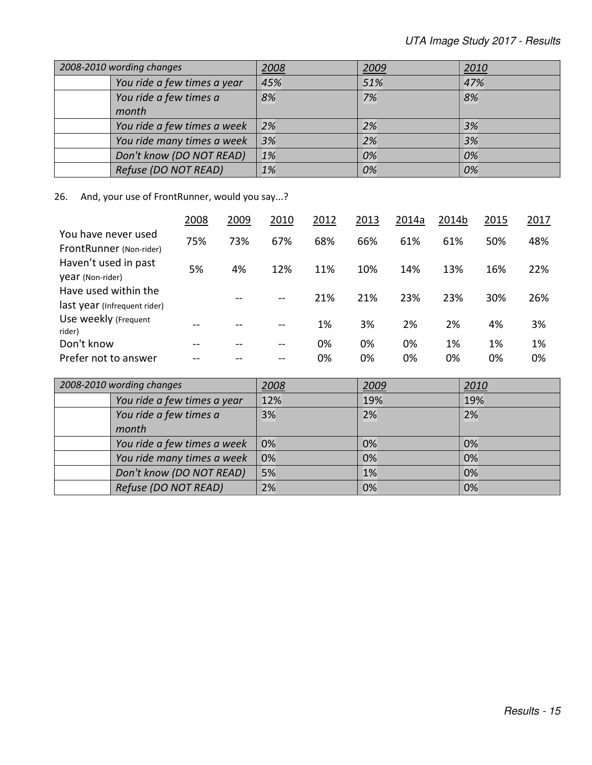| 2008-2010 wording changes   | 2008 | 2009 | 2010 |
|-----------------------------|------|------|------|
| You ride a few times a year | 45%  | 51%  | 47%  |
| You ride a few times a      | 8%   | 7%   | 8%   |
| month                       |      |      |      |
| You ride a few times a week | 2%   | 2%   | 3%   |
| You ride many times a week  | 3%   | 2%   | 3%   |
| Don't know (DO NOT READ)    | 1%   | 0%   | 0%   |
| Refuse (DO NOT READ)        | 1%   | 0%   | 0%   |

26. And, your use of FrontRunner, would you say...?

|                                                      | 2008 | 2009 | 2010  | 2012 | 2013 | 2014a | 2014b | 2015 | 2017 |
|------------------------------------------------------|------|------|-------|------|------|-------|-------|------|------|
| You have never used<br>FrontRunner (Non-rider)       | 75%  | 73%  | 67%   | 68%  | 66%  | 61%   | 61%   | 50%  | 48%  |
| Haven't used in past<br>year (Non-rider)             | 5%   | 4%   | 12%   | 11%  | 10%  | 14%   | 13%   | 16%  | 22%  |
| Have used within the<br>last year (Infrequent rider) |      | --   | $- -$ | 21%  | 21%  | 23%   | 23%   | 30%  | 26%  |
| Use weekly (Frequent<br>rider)                       |      |      |       | 1%   | 3%   | 2%    | 2%    | 4%   | 3%   |
| Don't know                                           |      |      |       | 0%   | 0%   | 0%    | 1%    | 1%   | 1%   |
| Prefer not to answer                                 |      |      |       | 0%   | 0%   | 0%    | 0%    | 0%   | 0%   |

| 2008-2010 wording changes       | <u> 2008</u> | 2009 | 2010 |
|---------------------------------|--------------|------|------|
| You ride a few times a year     | 12%          | 19%  | 19%  |
| You ride a few times a<br>month | 3%           | 2%   | 2%   |
| You ride a few times a week     | 0%           | 0%   | 0%   |
| You ride many times a week      | 0%           | 0%   | 0%   |
| Don't know (DO NOT READ)        | 5%           | 1%   | 0%   |
| Refuse (DO NOT READ)            | 2%           | 0%   | 0%   |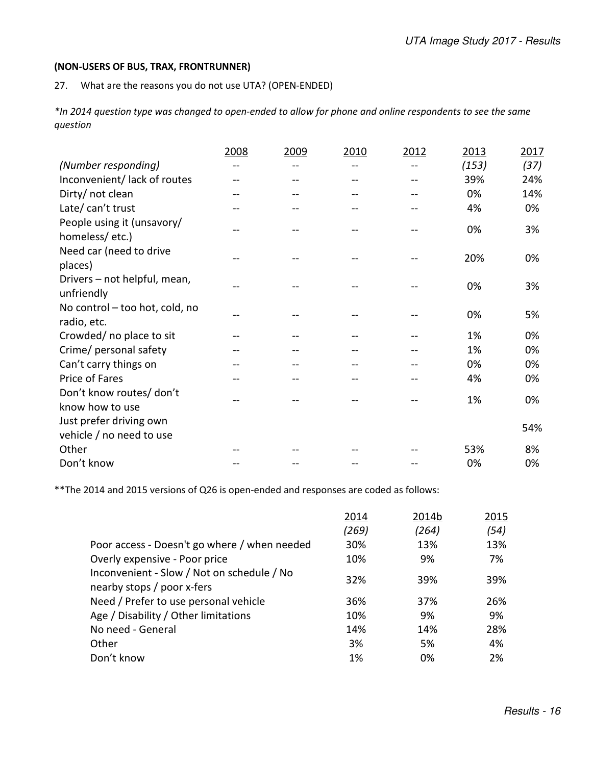#### **(NON-USERS OF BUS, TRAX, FRONTRUNNER)**

27. What are the reasons you do not use UTA? (OPEN-ENDED)

*\*In 2014 question type was changed to open-ended to allow for phone and online respondents to see the same question* 

|                                               | 2008 | 2009 | 2010 | 2012 | 2013  | 2017 |
|-----------------------------------------------|------|------|------|------|-------|------|
| (Number responding)                           |      |      |      |      | (153) | (37) |
| Inconvenient/lack of routes                   |      |      |      |      | 39%   | 24%  |
| Dirty/ not clean                              |      |      |      |      | 0%    | 14%  |
| Late/ can't trust                             |      |      |      |      | 4%    | 0%   |
| People using it (unsavory/<br>homeless/etc.)  |      |      |      |      | 0%    | 3%   |
| Need car (need to drive<br>places)            |      |      |      |      | 20%   | 0%   |
| Drivers - not helpful, mean,<br>unfriendly    |      |      |      |      | 0%    | 3%   |
| No control - too hot, cold, no<br>radio, etc. |      |      |      |      | 0%    | 5%   |
| Crowded/ no place to sit                      |      |      |      |      | 1%    | 0%   |
| Crime/ personal safety                        |      |      |      |      | 1%    | 0%   |
| Can't carry things on                         |      |      |      |      | 0%    | 0%   |
| Price of Fares                                |      |      |      |      | 4%    | 0%   |
| Don't know routes/ don't<br>know how to use   |      |      |      |      | 1%    | 0%   |
| Just prefer driving own                       |      |      |      |      |       | 54%  |
| vehicle / no need to use                      |      |      |      |      |       |      |
| Other                                         |      |      |      |      | 53%   | 8%   |
| Don't know                                    |      |      |      |      | 0%    | 0%   |

\*\*The 2014 and 2015 versions of Q26 is open-ended and responses are coded as follows:

|                                                                          | 2014  | 2014b | 2015 |
|--------------------------------------------------------------------------|-------|-------|------|
|                                                                          | (269) | (264) | (54) |
| Poor access - Doesn't go where / when needed                             | 30%   | 13%   | 13%  |
| Overly expensive - Poor price                                            | 10%   | 9%    | 7%   |
| Inconvenient - Slow / Not on schedule / No<br>nearby stops / poor x-fers | 32%   | 39%   | 39%  |
| Need / Prefer to use personal vehicle                                    | 36%   | 37%   | 26%  |
| Age / Disability / Other limitations                                     | 10%   | 9%    | 9%   |
| No need - General                                                        | 14%   | 14%   | 28%  |
| Other                                                                    | 3%    | 5%    | 4%   |
| Don't know                                                               | 1%    | 0%    | 2%   |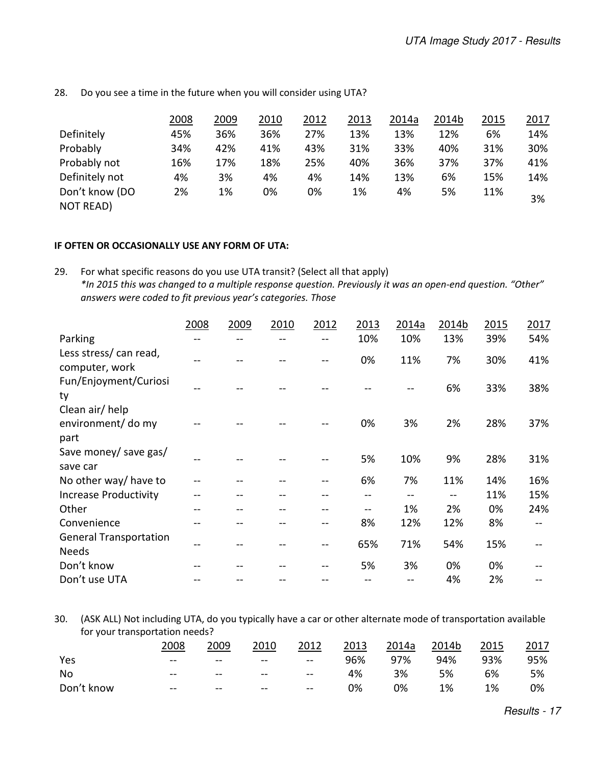|                                    | 2008 | 2009 | 2010 | 2012 | 2013 | 2014a | 2014b | 2015 | 2017 |
|------------------------------------|------|------|------|------|------|-------|-------|------|------|
| Definitely                         | 45%  | 36%  | 36%  | 27%  | 13%  | 13%   | 12%   | 6%   | 14%  |
| Probably                           | 34%  | 42%  | 41%  | 43%  | 31%  | 33%   | 40%   | 31%  | 30%  |
| Probably not                       | 16%  | 17%  | 18%  | 25%  | 40%  | 36%   | 37%   | 37%  | 41%  |
| Definitely not                     | 4%   | 3%   | 4%   | 4%   | 14%  | 13%   | 6%    | 15%  | 14%  |
| Don't know (DO<br><b>NOT READ)</b> | 2%   | 1%   | 0%   | 0%   | 1%   | 4%    | 5%    | 11%  | 3%   |

28. Do you see a time in the future when you will consider using UTA?

#### **IF OFTEN OR OCCASIONALLY USE ANY FORM OF UTA:**

29. For what specific reasons do you use UTA transit? (Select all that apply) *\*In 2015 this was changed to a multiple response question. Previously it was an open-end question. "Other" answers were coded to fit previous year's categories. Those* 

|                                               | 2008 | 2009 | 2010 | 2012 | 2013 | 2014a | 2014b | 2015 | 2017 |
|-----------------------------------------------|------|------|------|------|------|-------|-------|------|------|
| Parking                                       |      |      |      |      | 10%  | 10%   | 13%   | 39%  | 54%  |
| Less stress/can read,<br>computer, work       |      |      |      |      | 0%   | 11%   | 7%    | 30%  | 41%  |
| Fun/Enjoyment/Curiosi<br>ty                   |      |      |      |      |      |       | 6%    | 33%  | 38%  |
| Clean air/help<br>environment/ do my<br>part  |      |      |      |      | 0%   | 3%    | 2%    | 28%  | 37%  |
| Save money/ save gas/<br>save car             | --   |      |      |      | 5%   | 10%   | 9%    | 28%  | 31%  |
| No other way/ have to                         |      |      |      | --   | 6%   | 7%    | 11%   | 14%  | 16%  |
| <b>Increase Productivity</b>                  |      |      |      |      |      | --    | $- -$ | 11%  | 15%  |
| Other                                         |      |      |      |      |      | 1%    | 2%    | 0%   | 24%  |
| Convenience                                   |      |      |      | --   | 8%   | 12%   | 12%   | 8%   |      |
| <b>General Transportation</b><br><b>Needs</b> |      |      |      | --   | 65%  | 71%   | 54%   | 15%  |      |
| Don't know                                    |      |      |      |      | 5%   | 3%    | 0%    | 0%   |      |
| Don't use UTA                                 |      |      |      |      |      |       | 4%    | 2%   |      |

30. (ASK ALL) Not including UTA, do you typically have a car or other alternate mode of transportation available for your transportation needs?

|            | 2008  | 2009   | 2010  | 2012              | 2013 | 2014a | 2014b | 2015 | 2017 |
|------------|-------|--------|-------|-------------------|------|-------|-------|------|------|
| Yes        | $- -$ | $\sim$ | $- -$ | $\longrightarrow$ | 96%  | 97%   | 94%   | 93%  | 95%  |
| No         | $- -$ | $- -$  | $- -$ | $-\!$ $-$         | 4%   | 3%    | 5%    | 6%   | 5%   |
| Don't know | $- -$ | $- -$  | $- -$ | $- -$             | 0%   | 0%    | 1%    | 1%   | 0%   |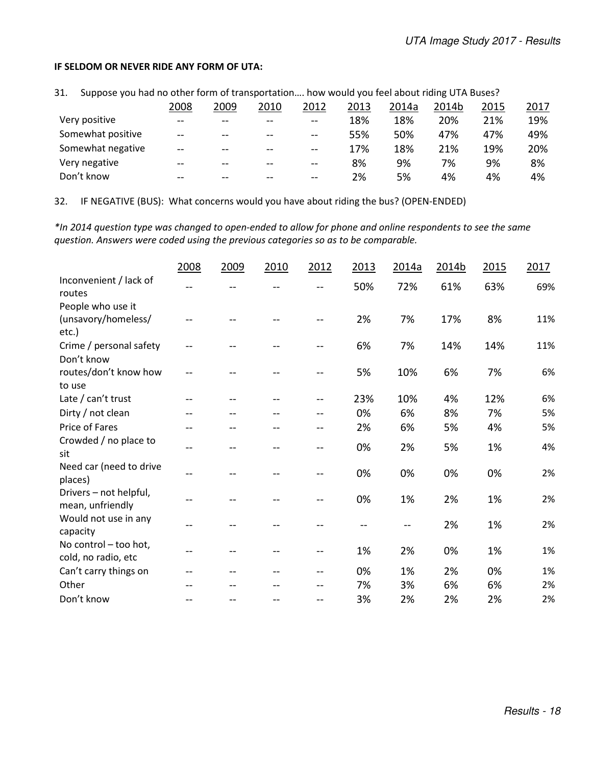#### **IF SELDOM OR NEVER RIDE ANY FORM OF UTA:**

31. Suppose you had no other form of transportation…. how would you feel about riding UTA Buses?

|                   | 2008  | 2009  | 2010  | 2012  | 2013 | 2014a | 2014b | 2015 | 2017 |
|-------------------|-------|-------|-------|-------|------|-------|-------|------|------|
| Very positive     | $-$   | $- -$ | $- -$ | $- -$ | 18%  | 18%   | 20%   | 21%  | 19%  |
| Somewhat positive | $-$   | $- -$ | $- -$ | $-$   | 55%  | 50%   | 47%   | 47%  | 49%  |
| Somewhat negative | $-$   | $- -$ | $- -$ | $-$   | 17%  | 18%   | 21%   | 19%  | 20%  |
| Very negative     | $-$   | $- -$ | $- -$ | $- -$ | 8%   | 9%    | 7%    | 9%   | 8%   |
| Don't know        | $- -$ | $- -$ | --    | $- -$ | 2%   | 5%    | 4%    | 4%   | 4%   |

32. IF NEGATIVE (BUS): What concerns would you have about riding the bus? (OPEN-ENDED)

*\*In 2014 question type was changed to open-ended to allow for phone and online respondents to see the same question. Answers were coded using the previous categories so as to be comparable.* 

|                                              | 2008 | 2009 | 2010 | 2012                     | 2013 | 2014a | 2014b | 2015 | 2017 |
|----------------------------------------------|------|------|------|--------------------------|------|-------|-------|------|------|
| Inconvenient / lack of<br>routes             |      |      |      |                          | 50%  | 72%   | 61%   | 63%  | 69%  |
| People who use it                            |      |      |      |                          |      |       |       |      |      |
| (unsavory/homeless/<br>etc.)                 |      |      |      |                          | 2%   | 7%    | 17%   | 8%   | 11%  |
| Crime / personal safety<br>Don't know        |      |      |      |                          | 6%   | 7%    | 14%   | 14%  | 11%  |
| routes/don't know how<br>to use              |      |      |      |                          | 5%   | 10%   | 6%    | 7%   | 6%   |
| Late / can't trust                           |      |      |      | $-$                      | 23%  | 10%   | 4%    | 12%  | 6%   |
| Dirty / not clean                            |      |      |      | --                       | 0%   | 6%    | 8%    | 7%   | 5%   |
| Price of Fares                               |      |      |      |                          | 2%   | 6%    | 5%    | 4%   | 5%   |
| Crowded / no place to<br>sit                 | --   | --   |      | --                       | 0%   | 2%    | 5%    | 1%   | 4%   |
| Need car (need to drive<br>places)           |      |      |      |                          | 0%   | 0%    | 0%    | 0%   | 2%   |
| Drivers - not helpful,<br>mean, unfriendly   |      |      |      |                          | 0%   | 1%    | 2%    | 1%   | 2%   |
| Would not use in any<br>capacity             |      |      |      |                          |      |       | 2%    | 1%   | 2%   |
| No control - too hot,<br>cold, no radio, etc |      |      |      | $\overline{\phantom{m}}$ | 1%   | 2%    | 0%    | 1%   | 1%   |
| Can't carry things on                        |      |      |      | $-$                      | 0%   | 1%    | 2%    | 0%   | 1%   |
| Other                                        |      |      |      |                          | 7%   | 3%    | 6%    | 6%   | 2%   |
| Don't know                                   |      |      |      | --                       | 3%   | 2%    | 2%    | 2%   | 2%   |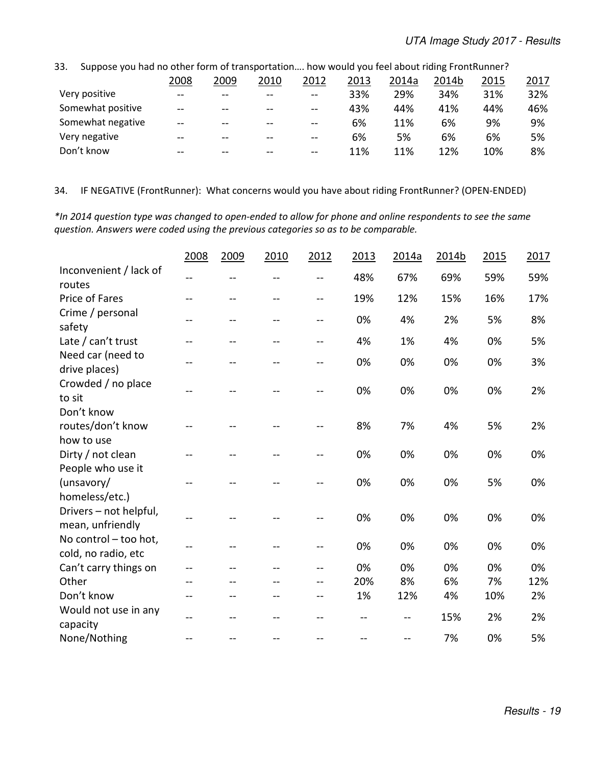| JJ.<br>3 JUDDOSE VOU HAU IIU OLIIEI TOHIT OF LEAIISDOFLATION HOW WOULD VOU TEEF ADOUL HUIHE FLOHLNUHIEI ! |      |       |       |        |      |       |       |      |      |
|-----------------------------------------------------------------------------------------------------------|------|-------|-------|--------|------|-------|-------|------|------|
|                                                                                                           | 2008 | 2009  | 2010  | 2012   | 2013 | 2014a | 2014b | 2015 | 2017 |
| Very positive                                                                                             | $-$  | $- -$ | $- -$ | $\sim$ | 33%  | 29%   | 34%   | 31%  | 32%  |
| Somewhat positive                                                                                         | $-$  | $- -$ | $- -$ | $- -$  | 43%  | 44%   | 41%   | 44%  | 46%  |
| Somewhat negative                                                                                         | $-$  | $- -$ | $- -$ | $- -$  | 6%   | 11%   | 6%    | 9%   | 9%   |
| Very negative                                                                                             | $-$  | $-$   | $- -$ | $-$    | 6%   | 5%    | 6%    | 6%   | 5%   |
| Don't know                                                                                                | $-$  | $- -$ | $- -$ | $- -$  | 11%  | 11%   | 12%   | 10%  | 8%   |

33. Suppose you had no other form of transportation …. how would you feel about riding FrontRunner?

#### 34. IF NEGATIVE (FrontRunner): What concerns would you have about riding FrontRunner? (OPEN-ENDED)

*\*In 2014 question type was changed to open-ended to allow for phone and online respondents to see the same question. Answers were coded using the previous categories so as to be comparable.* 

|                                              | 2008           | 2009 | 2010 | 2012           | 2013 | 2014a | 2014b | 2015 | 2017 |
|----------------------------------------------|----------------|------|------|----------------|------|-------|-------|------|------|
| Inconvenient / lack of<br>routes             | --             | --   |      | --             | 48%  | 67%   | 69%   | 59%  | 59%  |
| Price of Fares                               | $-1$           | --   | $-$  | $\overline{a}$ | 19%  | 12%   | 15%   | 16%  | 17%  |
| Crime / personal<br>safety                   | $-1$           | $-$  | --   | $\sim$ $\sim$  | 0%   | 4%    | 2%    | 5%   | 8%   |
| Late / can't trust                           | $-1$           | $-$  | $-$  | $-$            | 4%   | 1%    | 4%    | 0%   | 5%   |
| Need car (need to<br>drive places)           | $-$            | $-$  | --   | $\overline{a}$ | 0%   | 0%    | 0%    | 0%   | 3%   |
| Crowded / no place<br>to sit                 |                |      |      |                | 0%   | 0%    | 0%    | 0%   | 2%   |
| Don't know                                   |                |      |      |                |      |       |       |      |      |
| routes/don't know                            |                |      |      |                | 8%   | 7%    | 4%    | 5%   | 2%   |
| how to use                                   |                |      |      |                |      |       |       |      |      |
| Dirty / not clean                            |                |      |      |                | 0%   | 0%    | 0%    | 0%   | 0%   |
| People who use it                            |                |      |      |                |      |       |       |      |      |
| (unsavory/                                   |                |      |      |                | 0%   | 0%    | 0%    | 5%   | 0%   |
| homeless/etc.)                               |                |      |      |                |      |       |       |      |      |
| Drivers - not helpful,<br>mean, unfriendly   | $\overline{a}$ |      |      |                | 0%   | 0%    | 0%    | 0%   | 0%   |
| No control - too hot,<br>cold, no radio, etc | $-$            | --   |      | $\overline{a}$ | 0%   | 0%    | 0%    | 0%   | 0%   |
| Can't carry things on                        |                |      |      |                | 0%   | 0%    | 0%    | 0%   | 0%   |
| Other                                        |                |      |      |                | 20%  | 8%    | 6%    | 7%   | 12%  |
| Don't know                                   |                |      |      | $-$            | 1%   | 12%   | 4%    | 10%  | 2%   |
| Would not use in any<br>capacity             | $\overline{a}$ | $-$  | --   | $-$            | --   |       | 15%   | 2%   | 2%   |
| None/Nothing                                 | $-1$           | $-$  |      | $-$            | --   | $-$   | 7%    | 0%   | 5%   |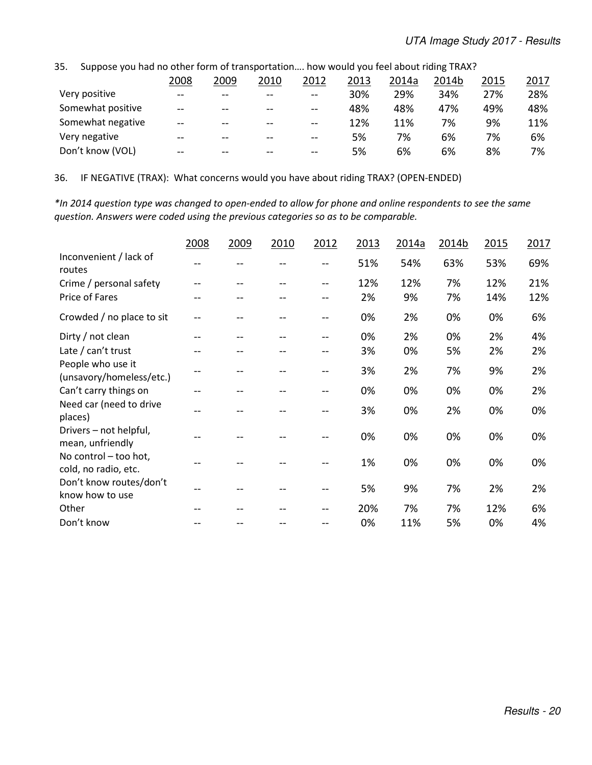| JJ.<br><u>JUDDOJE VOD HUU HO OLHEH TOHHI OF LIUHJDOI LULIOHIII. HOW WOUKU VOU IEEI UDOUL HUHIK THAA ;</u> |      |       |       |       |      |       |       |      |      |
|-----------------------------------------------------------------------------------------------------------|------|-------|-------|-------|------|-------|-------|------|------|
|                                                                                                           | 2008 | 2009  | 2010  | 2012  | 2013 | 2014a | 2014b | 2015 | 2017 |
| Very positive                                                                                             | $-$  | $- -$ | $- -$ | $-$   | 30%  | 29%   | 34%   | 27%  | 28%  |
| Somewhat positive                                                                                         | $-$  | $- -$ | $- -$ | $-$   | 48%  | 48%   | 47%   | 49%  | 48%  |
| Somewhat negative                                                                                         | $-$  |       | $-$   | $-$   | 12%  | 11%   | 7%    | 9%   | 11%  |
| Very negative                                                                                             | $-$  | $-$   | --    | $-$   | 5%   | 7%    | 6%    | 7%   | 6%   |
| Don't know (VOL)                                                                                          | $-$  | $- -$ | $- -$ | $- -$ | 5%   | 6%    | 6%    | 8%   | 7%   |

35. Suppose you had no other form of transportation…. how would you feel about riding TRAX?

36. IF NEGATIVE (TRAX): What concerns would you have about riding TRAX? (OPEN-ENDED)

*\*In 2014 question type was changed to open-ended to allow for phone and online respondents to see the same question. Answers were coded using the previous categories so as to be comparable.* 

|                                               | 2008 | 2009 | 2010 | 2012 | 2013 | 2014a | 2014b | 2015 | 2017 |
|-----------------------------------------------|------|------|------|------|------|-------|-------|------|------|
| Inconvenient / lack of<br>routes              |      |      |      | --   | 51%  | 54%   | 63%   | 53%  | 69%  |
| Crime / personal safety                       |      |      |      | --   | 12%  | 12%   | 7%    | 12%  | 21%  |
| Price of Fares                                |      |      |      |      | 2%   | 9%    | 7%    | 14%  | 12%  |
| Crowded / no place to sit                     |      |      |      | --   | 0%   | 2%    | 0%    | 0%   | 6%   |
| Dirty / not clean                             |      |      |      |      | 0%   | 2%    | 0%    | 2%   | 4%   |
| Late / can't trust                            |      |      |      |      | 3%   | 0%    | 5%    | 2%   | 2%   |
| People who use it<br>(unsavory/homeless/etc.) |      |      |      | --   | 3%   | 2%    | 7%    | 9%   | 2%   |
| Can't carry things on                         |      |      |      |      | 0%   | 0%    | 0%    | 0%   | 2%   |
| Need car (need to drive<br>places)            |      |      |      |      | 3%   | 0%    | 2%    | 0%   | 0%   |
| Drivers - not helpful,<br>mean, unfriendly    |      |      |      |      | 0%   | 0%    | 0%    | 0%   | 0%   |
| No control - too hot,<br>cold, no radio, etc. |      |      |      |      | 1%   | 0%    | 0%    | 0%   | 0%   |
| Don't know routes/don't<br>know how to use    |      |      |      | --   | 5%   | 9%    | 7%    | 2%   | 2%   |
| Other                                         |      |      |      |      | 20%  | 7%    | 7%    | 12%  | 6%   |
| Don't know                                    |      |      |      |      | 0%   | 11%   | 5%    | 0%   | 4%   |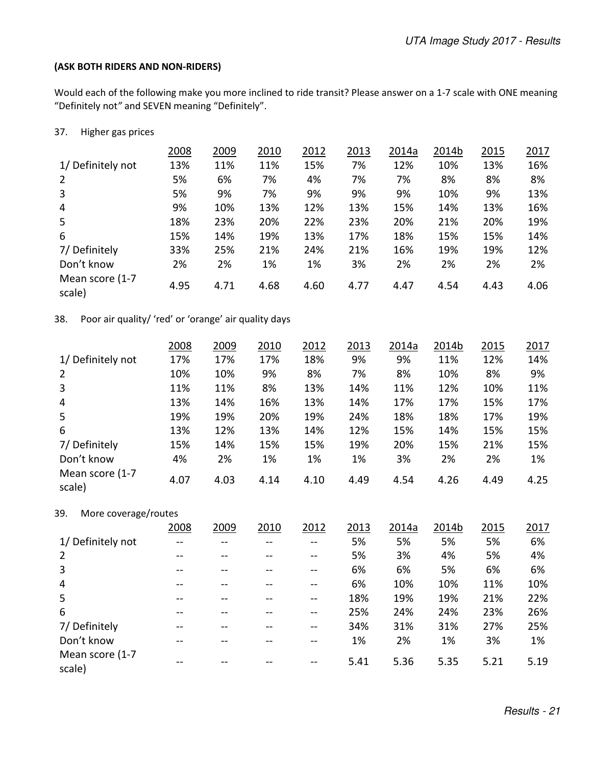#### **(ASK BOTH RIDERS AND NON-RIDERS)**

Would each of the following make you more inclined to ride transit? Please answer on a 1-7 scale with ONE meaning "Definitely not*"* and SEVEN meaning "Definitely".

#### 37. Higher gas prices

|                           | 2008 | 2009 | 2010 | 2012 | 2013 | 2014a | 2014b | 2015 | 2017 |
|---------------------------|------|------|------|------|------|-------|-------|------|------|
| 1/ Definitely not         | 13%  | 11%  | 11%  | 15%  | 7%   | 12%   | 10%   | 13%  | 16%  |
| 2                         | 5%   | 6%   | 7%   | 4%   | 7%   | 7%    | 8%    | 8%   | 8%   |
| 3                         | 5%   | 9%   | 7%   | 9%   | 9%   | 9%    | 10%   | 9%   | 13%  |
| $\overline{4}$            | 9%   | 10%  | 13%  | 12%  | 13%  | 15%   | 14%   | 13%  | 16%  |
| 5                         | 18%  | 23%  | 20%  | 22%  | 23%  | 20%   | 21%   | 20%  | 19%  |
| 6                         | 15%  | 14%  | 19%  | 13%  | 17%  | 18%   | 15%   | 15%  | 14%  |
| 7/Definitely              | 33%  | 25%  | 21%  | 24%  | 21%  | 16%   | 19%   | 19%  | 12%  |
| Don't know                | 2%   | 2%   | 1%   | 1%   | 3%   | 2%    | 2%    | 2%   | 2%   |
| Mean score (1-7<br>scale) | 4.95 | 4.71 | 4.68 | 4.60 | 4.77 | 4.47  | 4.54  | 4.43 | 4.06 |

38. Poor air quality/ 'red' or 'orange' air quality days

|                           | 2008 | 2009 | 2010 | 2012 | 2013 | 2014a | 2014b | 2015 | 2017 |
|---------------------------|------|------|------|------|------|-------|-------|------|------|
| 1/ Definitely not         | 17%  | 17%  | 17%  | 18%  | 9%   | 9%    | 11%   | 12%  | 14%  |
| $\overline{2}$            | 10%  | 10%  | 9%   | 8%   | 7%   | 8%    | 10%   | 8%   | 9%   |
| 3                         | 11%  | 11%  | 8%   | 13%  | 14%  | 11%   | 12%   | 10%  | 11%  |
| 4                         | 13%  | 14%  | 16%  | 13%  | 14%  | 17%   | 17%   | 15%  | 17%  |
| 5                         | 19%  | 19%  | 20%  | 19%  | 24%  | 18%   | 18%   | 17%  | 19%  |
| 6                         | 13%  | 12%  | 13%  | 14%  | 12%  | 15%   | 14%   | 15%  | 15%  |
| 7/Definitely              | 15%  | 14%  | 15%  | 15%  | 19%  | 20%   | 15%   | 21%  | 15%  |
| Don't know                | 4%   | 2%   | 1%   | 1%   | 1%   | 3%    | 2%    | 2%   | 1%   |
| Mean score (1-7<br>scale) | 4.07 | 4.03 | 4.14 | 4.10 | 4.49 | 4.54  | 4.26  | 4.49 | 4.25 |

| 39. | More coverage/routes |
|-----|----------------------|
|-----|----------------------|

|                           | 2008 | 2009 | 2010 | 2012 | 2013 | 2014a | 2014b | 2015 | 2017 |
|---------------------------|------|------|------|------|------|-------|-------|------|------|
| 1/ Definitely not         |      |      |      |      | 5%   | 5%    | 5%    | 5%   | 6%   |
| $\overline{2}$            |      |      |      | --   | 5%   | 3%    | 4%    | 5%   | 4%   |
| 3                         | --   |      |      | --   | 6%   | 6%    | 5%    | 6%   | 6%   |
| $\overline{4}$            | --   |      |      | --   | 6%   | 10%   | 10%   | 11%  | 10%  |
| 5                         | --   |      |      | --   | 18%  | 19%   | 19%   | 21%  | 22%  |
| 6                         | --   |      |      | --   | 25%  | 24%   | 24%   | 23%  | 26%  |
| 7/Definitely              | --   |      |      | --   | 34%  | 31%   | 31%   | 27%  | 25%  |
| Don't know                |      |      |      | --   | 1%   | 2%    | 1%    | 3%   | 1%   |
| Mean score (1-7<br>scale) |      |      |      |      | 5.41 | 5.36  | 5.35  | 5.21 | 5.19 |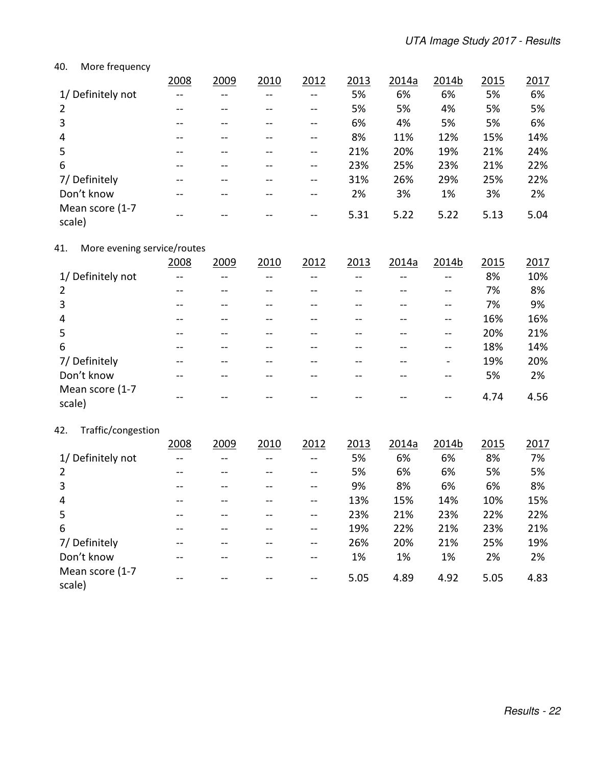#### 40. More frequency

|                           | 2008  | 2009 | 2010 | 2012  | 2013 | 2014a | 2014b | 2015 | 2017 |
|---------------------------|-------|------|------|-------|------|-------|-------|------|------|
| 1/ Definitely not         |       |      |      | --    | 5%   | 6%    | 6%    | 5%   | 6%   |
| $\overline{2}$            |       |      |      | --    | 5%   | 5%    | 4%    | 5%   | 5%   |
| 3                         | --    |      |      | --    | 6%   | 4%    | 5%    | 5%   | 6%   |
| 4                         | $- -$ |      |      | --    | 8%   | 11%   | 12%   | 15%  | 14%  |
| 5                         |       |      |      |       | 21%  | 20%   | 19%   | 21%  | 24%  |
| 6                         | --    |      |      | $- -$ | 23%  | 25%   | 23%   | 21%  | 22%  |
| 7/Definitely              |       |      |      | $ -$  | 31%  | 26%   | 29%   | 25%  | 22%  |
| Don't know                |       |      |      |       | 2%   | 3%    | 1%    | 3%   | 2%   |
| Mean score (1-7<br>scale) |       |      |      |       | 5.31 | 5.22  | 5.22  | 5.13 | 5.04 |

### 41. More evening service/routes

|                           | 2008 | 2009 | 2010 | 2012 | 2013 | 2014a | 2014b | 2015 | 2017 |
|---------------------------|------|------|------|------|------|-------|-------|------|------|
| 1/ Definitely not         |      |      |      |      |      |       | --    | 8%   | 10%  |
| 2                         | --   |      |      |      |      |       | $- -$ | 7%   | 8%   |
| 3                         |      |      |      |      |      |       |       | 7%   | 9%   |
| 4                         | --   |      |      |      |      |       | --    | 16%  | 16%  |
| 5                         |      |      |      |      |      |       |       | 20%  | 21%  |
| 6                         |      |      |      |      |      |       | --    | 18%  | 14%  |
| 7/ Definitely             |      |      |      |      |      |       |       | 19%  | 20%  |
| Don't know                |      |      |      |      |      |       | --    | 5%   | 2%   |
| Mean score (1-7<br>scale) |      |      |      |      |      |       |       | 4.74 | 4.56 |

### 42. Traffic/congestion

|                           | 2008 | 2009  | 2010 | 2012  | 2013 | 2014a | 2014b | 2015 | 2017 |
|---------------------------|------|-------|------|-------|------|-------|-------|------|------|
| 1/ Definitely not         |      |       |      |       | 5%   | 6%    | 6%    | 8%   | 7%   |
| $\overline{2}$            |      |       |      |       | 5%   | 6%    | 6%    | 5%   | 5%   |
| 3                         |      |       |      |       | 9%   | 8%    | 6%    | 6%   | 8%   |
| $\overline{4}$            |      |       |      |       | 13%  | 15%   | 14%   | 10%  | 15%  |
| 5                         | --   |       |      | $- -$ | 23%  | 21%   | 23%   | 22%  | 22%  |
| 6                         |      |       |      | $- -$ | 19%  | 22%   | 21%   | 23%  | 21%  |
| 7/Definitely              | --   | $- -$ |      | $- -$ | 26%  | 20%   | 21%   | 25%  | 19%  |
| Don't know                |      |       |      | $- -$ | 1%   | 1%    | 1%    | 2%   | 2%   |
| Mean score (1-7<br>scale) |      |       |      |       | 5.05 | 4.89  | 4.92  | 5.05 | 4.83 |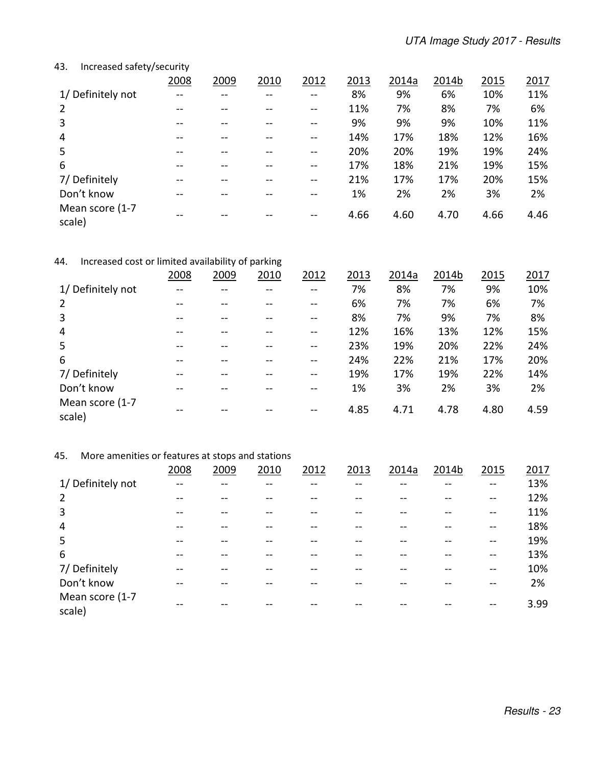### 43. Increased safety/security

|                           | 2008 | 2009 | 2010 | 2012  | 2013 | 2014a | 2014b | 2015 | 2017 |
|---------------------------|------|------|------|-------|------|-------|-------|------|------|
| 1/ Definitely not         | --   |      |      | $- -$ | 8%   | 9%    | 6%    | 10%  | 11%  |
| 2                         |      |      |      |       | 11%  | 7%    | 8%    | 7%   | 6%   |
| 3                         |      |      |      |       | 9%   | 9%    | 9%    | 10%  | 11%  |
| $\overline{4}$            | --   |      |      | $- -$ | 14%  | 17%   | 18%   | 12%  | 16%  |
| 5                         |      |      |      |       | 20%  | 20%   | 19%   | 19%  | 24%  |
| 6                         |      |      |      |       | 17%  | 18%   | 21%   | 19%  | 15%  |
| 7/Definitely              |      |      |      |       | 21%  | 17%   | 17%   | 20%  | 15%  |
| Don't know                |      |      |      |       | 1%   | 2%    | 2%    | 3%   | 2%   |
| Mean score (1-7<br>scale) |      |      |      |       | 4.66 | 4.60  | 4.70  | 4.66 | 4.46 |

### 44. Increased cost or limited availability of parking

|                           | 2008 | 2009 | 2010 | 2012  | 2013 | 2014a | 2014b | 2015 | 2017 |
|---------------------------|------|------|------|-------|------|-------|-------|------|------|
| 1/ Definitely not         |      |      |      |       | 7%   | 8%    | 7%    | 9%   | 10%  |
| 2                         | --   |      |      | $- -$ | 6%   | 7%    | 7%    | 6%   | 7%   |
| 3                         |      |      |      |       | 8%   | 7%    | 9%    | 7%   | 8%   |
| $\overline{4}$            |      |      |      |       | 12%  | 16%   | 13%   | 12%  | 15%  |
| 5                         |      |      |      |       | 23%  | 19%   | 20%   | 22%  | 24%  |
| 6                         |      |      |      | $- -$ | 24%  | 22%   | 21%   | 17%  | 20%  |
| 7/Definitely              |      |      |      |       | 19%  | 17%   | 19%   | 22%  | 14%  |
| Don't know                |      |      |      |       | 1%   | 3%    | 2%    | 3%   | 2%   |
| Mean score (1-7<br>scale) |      |      |      |       | 4.85 | 4.71  | 4.78  | 4.80 | 4.59 |

### 45. More amenities or features at stops and stations

|                           | 2008 | 2009 | 2010 | 2012 | 2013 | 2014a | 2014b | 2015  | 2017 |
|---------------------------|------|------|------|------|------|-------|-------|-------|------|
| 1/ Definitely not         |      |      |      |      |      |       |       | $- -$ | 13%  |
| 2                         |      |      |      |      |      |       |       | --    | 12%  |
| 3                         |      |      |      |      |      |       |       | $- -$ | 11%  |
| 4                         |      |      |      |      |      |       |       |       | 18%  |
| 5                         |      |      |      |      |      |       |       |       | 19%  |
| 6                         |      |      |      |      |      |       |       | $- -$ | 13%  |
| 7/ Definitely             |      |      |      |      |      |       |       |       | 10%  |
| Don't know                |      |      |      |      |      |       |       |       | 2%   |
| Mean score (1-7<br>scale) |      |      |      |      |      |       |       |       | 3.99 |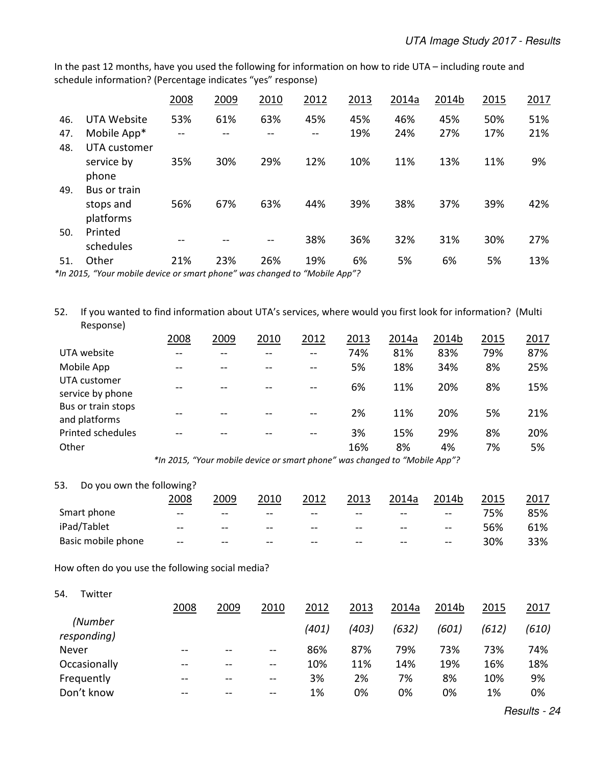In the past 12 months, have you used the following for information on how to ride UTA – including route and schedule information? (Percentage indicates "yes" response)

|     |              | 2008 | 2009 | 2010 | 2012 | 2013 | 2014a | 2014b | 2015 | 2017 |
|-----|--------------|------|------|------|------|------|-------|-------|------|------|
| 46. | UTA Website  | 53%  | 61%  | 63%  | 45%  | 45%  | 46%   | 45%   | 50%  | 51%  |
| 47. | Mobile App*  |      |      |      |      | 19%  | 24%   | 27%   | 17%  | 21%  |
| 48. | UTA customer |      |      |      |      |      |       |       |      |      |
|     | service by   | 35%  | 30%  | 29%  | 12%  | 10%  | 11%   | 13%   | 11%  | 9%   |
|     | phone        |      |      |      |      |      |       |       |      |      |
| 49. | Bus or train |      |      |      |      |      |       |       |      |      |
|     | stops and    | 56%  | 67%  | 63%  | 44%  | 39%  | 38%   | 37%   | 39%  | 42%  |
|     | platforms    |      |      |      |      |      |       |       |      |      |
| 50. | Printed      |      |      | --   | 38%  | 36%  | 32%   | 31%   | 30%  | 27%  |
|     | schedules    |      |      |      |      |      |       |       |      |      |
| 51. | Other        | 21%  | 23%  | 26%  | 19%  | 6%   | 5%    | 6%    | 5%   | 13%  |

*\*In 2015, "Your mobile device or smart phone" was changed to "Mobile App"?* 

52. If you wanted to find information about UTA's services, where would you first look for information? (Multi Response)

|                                     | 2008                                                                                                       | 2009 | 2010 | 2012                            | 2013 | 2014a | 2014b | <u>2015</u> | 2017 |
|-------------------------------------|------------------------------------------------------------------------------------------------------------|------|------|---------------------------------|------|-------|-------|-------------|------|
| UTA website                         | --                                                                                                         |      |      | $-$                             | 74%  | 81%   | 83%   | 79%         | 87%  |
| Mobile App                          |                                                                                                            |      |      | $-$                             | 5%   | 18%   | 34%   | 8%          | 25%  |
| UTA customer<br>service by phone    |                                                                                                            |      |      | $-$                             | 6%   | 11%   | 20%   | 8%          | 15%  |
| Bus or train stops<br>and platforms |                                                                                                            |      |      |                                 | 2%   | 11%   | 20%   | 5%          | 21%  |
| Printed schedules                   | --                                                                                                         |      |      | --                              | 3%   | 15%   | 29%   | 8%          | 20%  |
| Other                               |                                                                                                            |      |      |                                 | 16%  | 8%    | 4%    | 7%          | 5%   |
|                                     | $\mathbf{a} \cdot \mathbf{b} = \mathbf{a} \cdot \mathbf{b} = \mathbf{a} \cdot \mathbf{b} \cdot \mathbf{c}$ | .    |      | $\cdot$<br>$\sim$ $\sim$ $\sim$ |      | .     |       |             |      |

 *\*In 2015, "Your mobile device or smart phone" was changed to "Mobile App"?* 

#### 53. Do you own the following?

|                    | 2008                     | 2009   | 2010  | 2012   | 2013   | 2014a  | 2014b                                          | 2015 | 2017 |
|--------------------|--------------------------|--------|-------|--------|--------|--------|------------------------------------------------|------|------|
| Smart phone        | $- -$                    | $- -$  | --    | $- -$  | $- -$  | $- -$  | $\sim$ $\sim$                                  | 75%  | 85%  |
| iPad/Tablet        | $\overline{\phantom{m}}$ | $- -$  | --    | $- -$  | $- -$  | $\sim$ | $\hspace{0.1mm}-\hspace{0.1mm}-\hspace{0.1mm}$ | 56%  | 61%  |
| Basic mobile phone | $\hspace{0.1em}$         | $\sim$ | $- -$ | $\sim$ | $\sim$ | $\sim$ | $-\!$ $-$                                      | 30%  | 33%  |

How often do you use the following social media?

54. Twitter

|                        | 2008  | 2009  | 2010                     | 2012  | 2013  | 2014a | 2014b | 2015  | 2017  |
|------------------------|-------|-------|--------------------------|-------|-------|-------|-------|-------|-------|
| (Number<br>responding) |       |       |                          | (401) | (403) | (632) | (601) | (612) | (610) |
| Never                  | $- -$ | $- -$ | $\sim$ $\sim$            | 86%   | 87%   | 79%   | 73%   | 73%   | 74%   |
| Occasionally           | $-$   | $- -$ | $\qquad \qquad \cdots$   | 10%   | 11%   | 14%   | 19%   | 16%   | 18%   |
| Frequently             | $- -$ | $- -$ | $\overline{\phantom{m}}$ | 3%    | 2%    | 7%    | 8%    | 10%   | 9%    |
| Don't know             | $- -$ | --    | $\sim$ $\sim$            | 1%    | 0%    | 0%    | 0%    | 1%    | 0%    |

Results - 24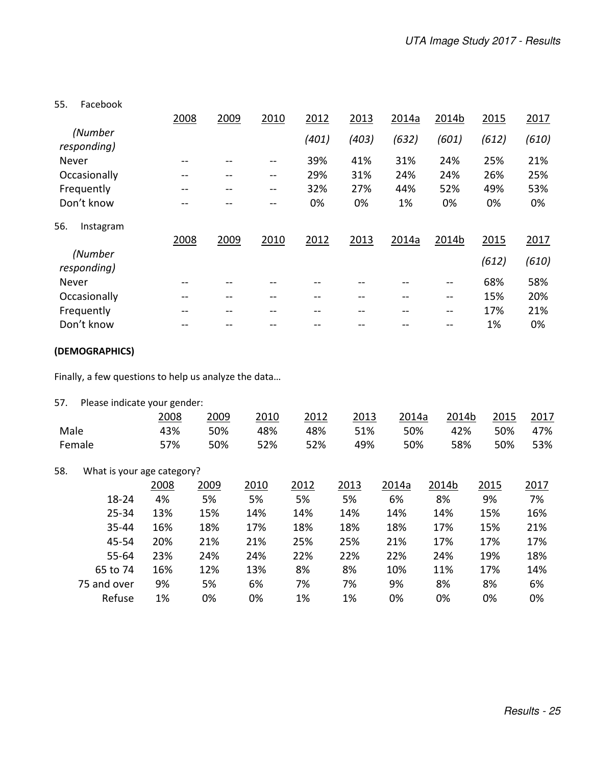55. Facebook

|                        | 2008 | 2009 | 2010  | 2012  | 2013  | 2014a | 2014b | 2015  | 2017  |
|------------------------|------|------|-------|-------|-------|-------|-------|-------|-------|
| (Number<br>responding) |      |      |       | (401) | (403) | (632) | (601) | (612) | (610) |
| Never                  | --   |      |       | 39%   | 41%   | 31%   | 24%   | 25%   | 21%   |
| Occasionally           |      | --   | $-1$  | 29%   | 31%   | 24%   | 24%   | 26%   | 25%   |
| Frequently             |      | --   | $- -$ | 32%   | 27%   | 44%   | 52%   | 49%   | 53%   |
| Don't know             |      |      |       | 0%    | 0%    | 1%    | 0%    | 0%    | 0%    |
| 56.<br>Instagram       |      |      |       |       |       |       |       |       |       |
|                        | 2008 | 2009 | 2010  | 2012  | 2013  | 2014a | 2014b | 2015  | 2017  |
| (Number<br>responding) |      |      |       |       |       |       |       | (612) | (610) |
| Never                  |      |      |       |       |       |       |       | 68%   | 58%   |
| Occasionally           |      | --   |       |       | --    |       | --    | 15%   | 20%   |
| Frequently             | --   | --   |       | --    | --    |       | $- -$ | 17%   | 21%   |
| Don't know             |      |      |       |       |       |       |       | 1%    | 0%    |
|                        |      |      |       |       |       |       |       |       |       |

### **(DEMOGRAPHICS)**

Finally, a few questions to help us analyze the data…

| 57.  | Please indicate your gender: |      |      |      |      |      |       |       |      |      |
|------|------------------------------|------|------|------|------|------|-------|-------|------|------|
|      |                              | 2008 | 2009 | 2010 | 2012 | 2013 | 2014a | 2014b | 2015 | 2017 |
| Male |                              | 43%  | 50%  | 48%  | 48%  | 51%  | 50%   | 42%   | 50%  | 47%  |
|      | Female                       | 57%  | 50%  | 52%  | 52%  | 49%  | 50%   | 58%   | 50%  | 53%  |
| 58.  | What is your age category?   |      |      |      |      |      |       |       |      |      |
|      |                              | 2008 | 2009 | 2010 | 2012 | 2013 | 2014a | 2014b | 2015 | 2017 |
|      | 18-24                        | 4%   | 5%   | 5%   | 5%   | 5%   | 6%    | 8%    | 9%   | 7%   |
|      | $25 - 34$                    | 13%  | 15%  | 14%  | 14%  | 14%  | 14%   | 14%   | 15%  | 16%  |
|      | 35-44                        | 16%  | 18%  | 17%  | 18%  | 18%  | 18%   | 17%   | 15%  | 21%  |
|      | 45-54                        | 20%  | 21%  | 21%  | 25%  | 25%  | 21%   | 17%   | 17%  | 17%  |
|      | $55 - 64$                    | 23%  | 24%  | 24%  | 22%  | 22%  | 22%   | 24%   | 19%  | 18%  |
|      | 65 to 74                     | 16%  | 12%  | 13%  | 8%   | 8%   | 10%   | 11%   | 17%  | 14%  |
|      | 75 and over                  | 9%   | 5%   | 6%   | 7%   | 7%   | 9%    | 8%    | 8%   | 6%   |
|      | Refuse                       | 1%   | 0%   | 0%   | 1%   | 1%   | 0%    | 0%    | 0%   | 0%   |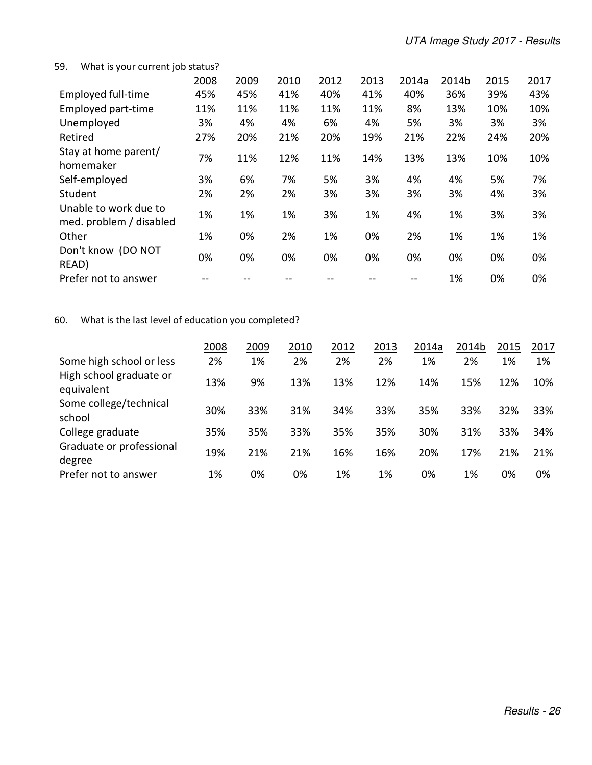#### 59. What is your current job status?

|                                                  | 2008 | 2009 | 2010 | 2012 | 2013 | 2014a | 2014b | 2015 | 2017 |
|--------------------------------------------------|------|------|------|------|------|-------|-------|------|------|
| <b>Employed full-time</b>                        | 45%  | 45%  | 41%  | 40%  | 41%  | 40%   | 36%   | 39%  | 43%  |
| Employed part-time                               | 11%  | 11%  | 11%  | 11%  | 11%  | 8%    | 13%   | 10%  | 10%  |
| Unemployed                                       | 3%   | 4%   | 4%   | 6%   | 4%   | 5%    | 3%    | 3%   | 3%   |
| Retired                                          | 27%  | 20%  | 21%  | 20%  | 19%  | 21%   | 22%   | 24%  | 20%  |
| Stay at home parent/<br>homemaker                | 7%   | 11%  | 12%  | 11%  | 14%  | 13%   | 13%   | 10%  | 10%  |
| Self-employed                                    | 3%   | 6%   | 7%   | 5%   | 3%   | 4%    | 4%    | 5%   | 7%   |
| Student                                          | 2%   | 2%   | 2%   | 3%   | 3%   | 3%    | 3%    | 4%   | 3%   |
| Unable to work due to<br>med. problem / disabled | 1%   | 1%   | 1%   | 3%   | 1%   | 4%    | 1%    | 3%   | 3%   |
| Other                                            | 1%   | 0%   | 2%   | 1%   | 0%   | 2%    | 1%    | 1%   | 1%   |
| Don't know (DO NOT<br>READ)                      | 0%   | 0%   | 0%   | 0%   | 0%   | 0%    | 0%    | 0%   | 0%   |
| Prefer not to answer                             |      |      |      |      |      |       | 1%    | 0%   | 0%   |

# 60. What is the last level of education you completed?

|                                       | 2008 | 2009 | 2010 | 2012 | 2013 | 2014a | 2014b | 2015 | 2017 |
|---------------------------------------|------|------|------|------|------|-------|-------|------|------|
| Some high school or less              | 2%   | 1%   | 2%   | 2%   | 2%   | 1%    | 2%    | 1%   | 1%   |
| High school graduate or<br>equivalent | 13%  | 9%   | 13%  | 13%  | 12%  | 14%   | 15%   | 12%  | 10%  |
| Some college/technical<br>school      | 30%  | 33%  | 31%  | 34%  | 33%  | 35%   | 33%   | 32%  | 33%  |
| College graduate                      | 35%  | 35%  | 33%  | 35%  | 35%  | 30%   | 31%   | 33%  | 34%  |
| Graduate or professional<br>degree    | 19%  | 21%  | 21%  | 16%  | 16%  | 20%   | 17%   | 21%  | 21%  |
| Prefer not to answer                  | 1%   | 0%   | 0%   | 1%   | 1%   | 0%    | 1%    | 0%   | 0%   |